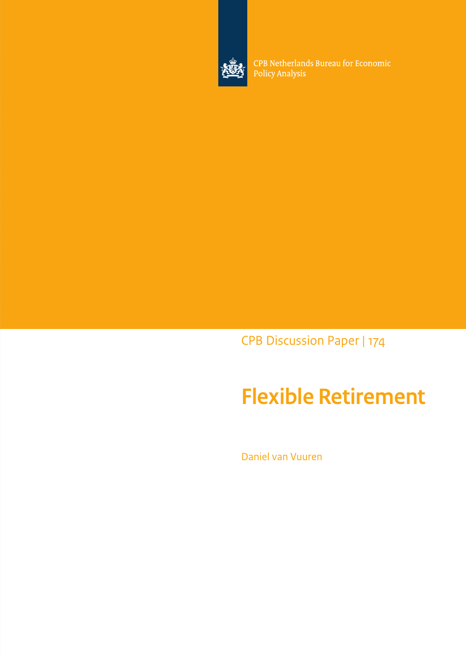

CPB Netherlands Bureau for Economic Policy Analysis

CPB Discussion Paper | 174

# **Flexible Retirement**

Daniel van Vuuren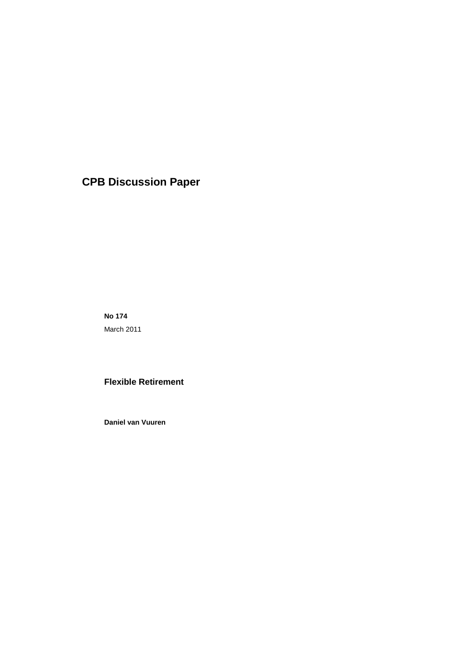# **CPB Discussion Paper**

**No 174** March 2011

# **Flexible Retirement**

**Daniel van Vuuren**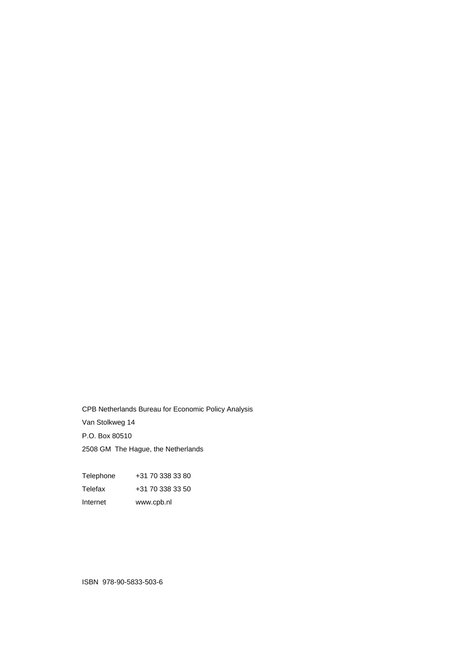CPB Netherlands Bureau for Economic Policy Analysis Van Stolkweg 14 P.O. Box 80510 2508 GM The Hague, the Netherlands

| Telephone | +31 70 338 33 80 |
|-----------|------------------|
| Telefax   | +31 70 338 33 50 |
| Internet  | www.cpb.nl       |

ISBN 978-90-5833-503-6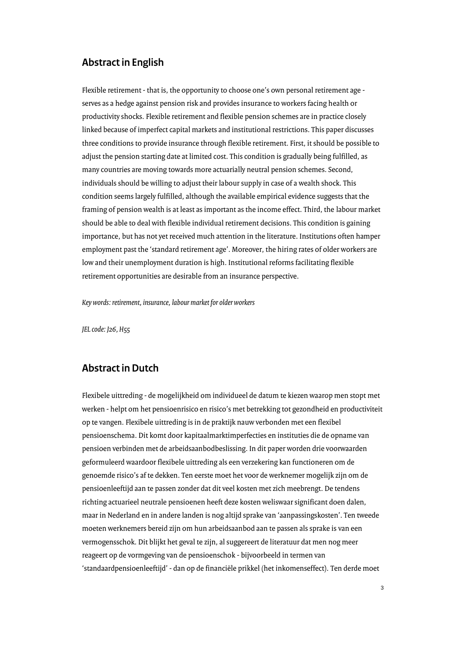### **Abstract in English**

Flexible retirement - that is, the opportunity to choose one's own personal retirement age serves as a hedge against pension risk and provides insurance to workers facing health or productivity shocks. Flexible retirement and flexible pension schemes are in practice closely linked because of imperfect capital markets and institutional restrictions. This paper discusses three conditions to provide insurance through flexible retirement. First, it should be possible to adjust the pension starting date at limited cost. This condition is gradually being fulfilled, as many countries are moving towards more actuarially neutral pension schemes. Second, individuals should be willing to adjust their labour supply in case of a wealth shock. This condition seems largely fulfilled, although the available empirical evidence suggests that the framing of pension wealth is at least as important as the income effect. Third, the labour market should be able to deal with flexible individual retirement decisions. This condition is gaining importance, but has not yet received much attention in the literature. Institutions often hamper employment past the 'standard retirement age'. Moreover, the hiring rates of older workers are low and their unemployment duration is high. Institutional reforms facilitating flexible retirement opportunities are desirable from an insurance perspective.

*Key words: retirement, insurance, labourmarket for older workers*

*JEL code: J26, H55*

# **Abstract in Dutch**

Flexibele uittreding - de mogelijkheid om individueel de datum te kiezen waarop men stopt met werken - helpt om het pensioenrisico en risico's met betrekking tot gezondheid en productiviteit op te vangen. Flexibele uittreding is in de praktijk nauw verbonden met een flexibel pensioenschema. Dit komt door kapitaalmarktimperfecties en instituties die de opname van pensioen verbinden met de arbeidsaanbodbeslissing. In dit paper worden drie voorwaarden geformuleerd waardoor flexibele uittreding als een verzekering kan functioneren om de genoemde risico's af te dekken. Ten eerste moet het voor de werknemer mogelijk zijn om de pensioenleeftijd aan te passen zonder dat dit veel kosten met zich meebrengt. De tendens richting actuarieel neutrale pensioenen heeft deze kosten weliswaar significant doen dalen, maar in Nederland en in andere landen is nog altijd sprake van 'aanpassingskosten'. Ten tweede moeten werknemers bereid zijn om hun arbeidsaanbod aan te passen als sprake is van een vermogensschok. Dit blijkt het geval te zijn, al suggereert de literatuur dat men nog meer reageert op de vormgeving van de pensioenschok - bijvoorbeeld in termen van 'standaardpensioenleeftijd' - dan op de financiële prikkel (het inkomenseffect). Ten derde moet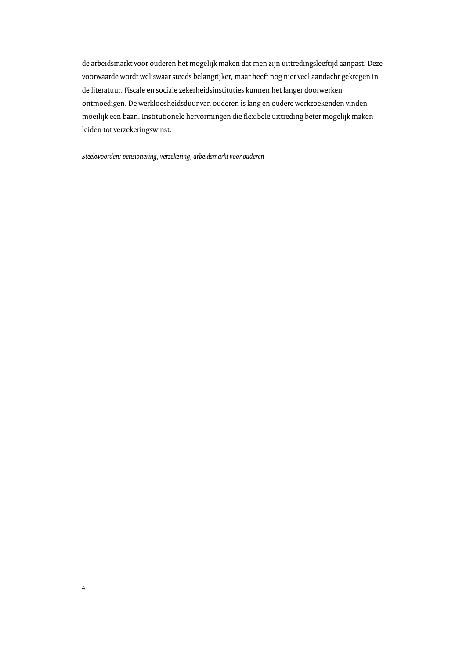de arbeidsmarkt voor ouderen het mogelijk maken dat men zijn uittredingsleeftijd aanpast. Deze voorwaarde wordt weliswaar steeds belangrijker, maar heeft nog niet veel aandacht gekregen in de literatuur. Fiscale en sociale zekerheidsinstituties kunnen het langer doorwerken ontmoedigen. De werkloosheidsduur van ouderen is lang en oudere werkzoekenden vinden moeilijk een baan. Institutionele hervormingen die flexibele uittreding beter mogelijk maken leiden tot verzekeringswinst.

*Steekwoorden: pensionering, verzekering, arbeidsmarkt voor ouderen*

4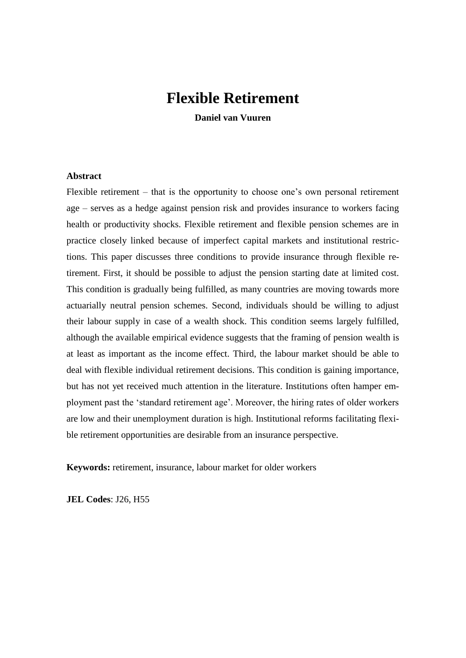# **Flexible Retirement**

**Daniel van Vuuren**

#### **Abstract**

Flexible retirement – that is the opportunity to choose one"s own personal retirement age – serves as a hedge against pension risk and provides insurance to workers facing health or productivity shocks. Flexible retirement and flexible pension schemes are in practice closely linked because of imperfect capital markets and institutional restrictions. This paper discusses three conditions to provide insurance through flexible retirement. First, it should be possible to adjust the pension starting date at limited cost. This condition is gradually being fulfilled, as many countries are moving towards more actuarially neutral pension schemes. Second, individuals should be willing to adjust their labour supply in case of a wealth shock. This condition seems largely fulfilled, although the available empirical evidence suggests that the framing of pension wealth is at least as important as the income effect. Third, the labour market should be able to deal with flexible individual retirement decisions. This condition is gaining importance, but has not yet received much attention in the literature. Institutions often hamper employment past the "standard retirement age". Moreover, the hiring rates of older workers are low and their unemployment duration is high. Institutional reforms facilitating flexible retirement opportunities are desirable from an insurance perspective.

**Keywords:** retirement, insurance, labour market for older workers

**JEL Codes**: J26, H55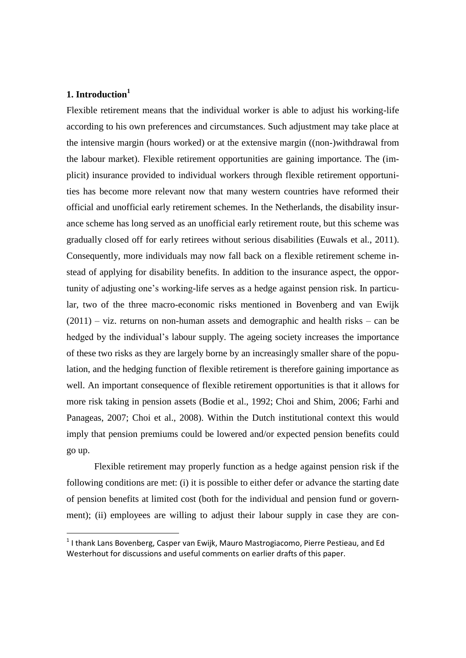# **1. Introduction<sup>1</sup>**

1

Flexible retirement means that the individual worker is able to adjust his working-life according to his own preferences and circumstances. Such adjustment may take place at the intensive margin (hours worked) or at the extensive margin ((non-)withdrawal from the labour market). Flexible retirement opportunities are gaining importance. The (implicit) insurance provided to individual workers through flexible retirement opportunities has become more relevant now that many western countries have reformed their official and unofficial early retirement schemes. In the Netherlands, the disability insurance scheme has long served as an unofficial early retirement route, but this scheme was gradually closed off for early retirees without serious disabilities (Euwals et al., 2011). Consequently, more individuals may now fall back on a flexible retirement scheme instead of applying for disability benefits. In addition to the insurance aspect, the opportunity of adjusting one"s working-life serves as a hedge against pension risk. In particular, two of the three macro-economic risks mentioned in Bovenberg and van Ewijk  $(2011) - \text{viz}$  returns on non-human assets and demographic and health risks – can be hedged by the individual"s labour supply. The ageing society increases the importance of these two risks as they are largely borne by an increasingly smaller share of the population, and the hedging function of flexible retirement is therefore gaining importance as well. An important consequence of flexible retirement opportunities is that it allows for more risk taking in pension assets (Bodie et al., 1992; Choi and Shim, 2006; Farhi and Panageas, 2007; Choi et al., 2008). Within the Dutch institutional context this would imply that pension premiums could be lowered and/or expected pension benefits could go up.

Flexible retirement may properly function as a hedge against pension risk if the following conditions are met: (i) it is possible to either defer or advance the starting date of pension benefits at limited cost (both for the individual and pension fund or government); (ii) employees are willing to adjust their labour supply in case they are con-

<sup>&</sup>lt;sup>1</sup> I thank Lans Bovenberg, Casper van Ewijk, Mauro Mastrogiacomo, Pierre Pestieau, and Ed Westerhout for discussions and useful comments on earlier drafts of this paper.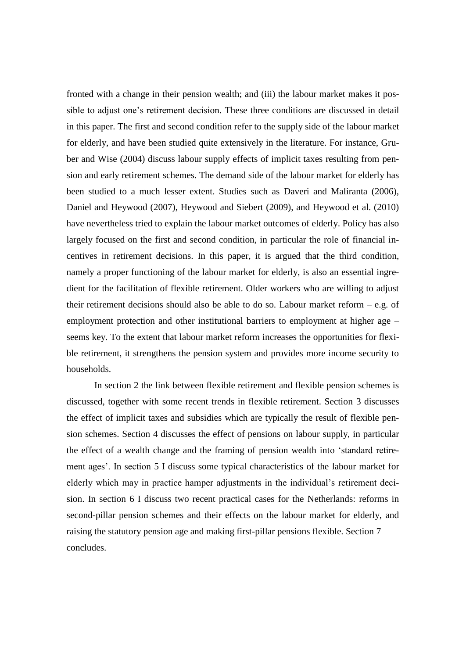fronted with a change in their pension wealth; and (iii) the labour market makes it possible to adjust one's retirement decision. These three conditions are discussed in detail in this paper. The first and second condition refer to the supply side of the labour market for elderly, and have been studied quite extensively in the literature. For instance, Gruber and Wise (2004) discuss labour supply effects of implicit taxes resulting from pension and early retirement schemes. The demand side of the labour market for elderly has been studied to a much lesser extent. Studies such as Daveri and Maliranta (2006), Daniel and Heywood (2007), Heywood and Siebert (2009), and Heywood et al. (2010) have nevertheless tried to explain the labour market outcomes of elderly. Policy has also largely focused on the first and second condition, in particular the role of financial incentives in retirement decisions. In this paper, it is argued that the third condition, namely a proper functioning of the labour market for elderly, is also an essential ingredient for the facilitation of flexible retirement. Older workers who are willing to adjust their retirement decisions should also be able to do so. Labour market reform – e.g. of employment protection and other institutional barriers to employment at higher age – seems key. To the extent that labour market reform increases the opportunities for flexible retirement, it strengthens the pension system and provides more income security to households.

In section 2 the link between flexible retirement and flexible pension schemes is discussed, together with some recent trends in flexible retirement. Section 3 discusses the effect of implicit taxes and subsidies which are typically the result of flexible pension schemes. Section 4 discusses the effect of pensions on labour supply, in particular the effect of a wealth change and the framing of pension wealth into "standard retirement ages'. In section 5 I discuss some typical characteristics of the labour market for elderly which may in practice hamper adjustments in the individual"s retirement decision. In section 6 I discuss two recent practical cases for the Netherlands: reforms in second-pillar pension schemes and their effects on the labour market for elderly, and raising the statutory pension age and making first-pillar pensions flexible. Section 7 concludes.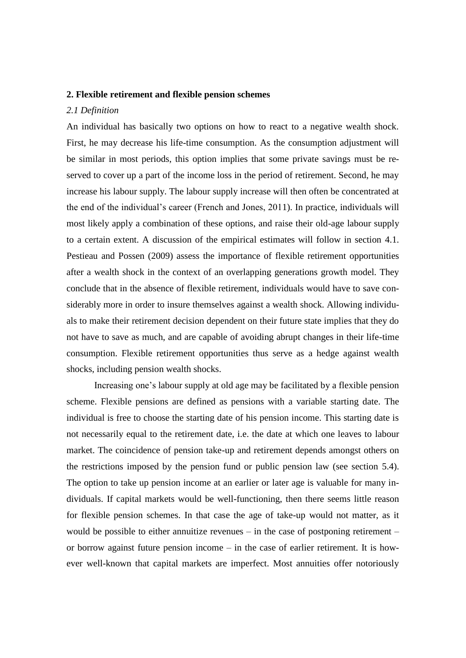#### **2. Flexible retirement and flexible pension schemes**

#### *2.1 Definition*

An individual has basically two options on how to react to a negative wealth shock. First, he may decrease his life-time consumption. As the consumption adjustment will be similar in most periods, this option implies that some private savings must be reserved to cover up a part of the income loss in the period of retirement. Second, he may increase his labour supply. The labour supply increase will then often be concentrated at the end of the individual"s career (French and Jones, 2011). In practice, individuals will most likely apply a combination of these options, and raise their old-age labour supply to a certain extent. A discussion of the empirical estimates will follow in section 4.1. Pestieau and Possen (2009) assess the importance of flexible retirement opportunities after a wealth shock in the context of an overlapping generations growth model. They conclude that in the absence of flexible retirement, individuals would have to save considerably more in order to insure themselves against a wealth shock. Allowing individuals to make their retirement decision dependent on their future state implies that they do not have to save as much, and are capable of avoiding abrupt changes in their life-time consumption. Flexible retirement opportunities thus serve as a hedge against wealth shocks, including pension wealth shocks.

Increasing one's labour supply at old age may be facilitated by a flexible pension scheme. Flexible pensions are defined as pensions with a variable starting date. The individual is free to choose the starting date of his pension income. This starting date is not necessarily equal to the retirement date, i.e. the date at which one leaves to labour market. The coincidence of pension take-up and retirement depends amongst others on the restrictions imposed by the pension fund or public pension law (see section 5.4). The option to take up pension income at an earlier or later age is valuable for many individuals. If capital markets would be well-functioning, then there seems little reason for flexible pension schemes. In that case the age of take-up would not matter, as it would be possible to either annuitize revenues – in the case of postponing retirement – or borrow against future pension income – in the case of earlier retirement. It is however well-known that capital markets are imperfect. Most annuities offer notoriously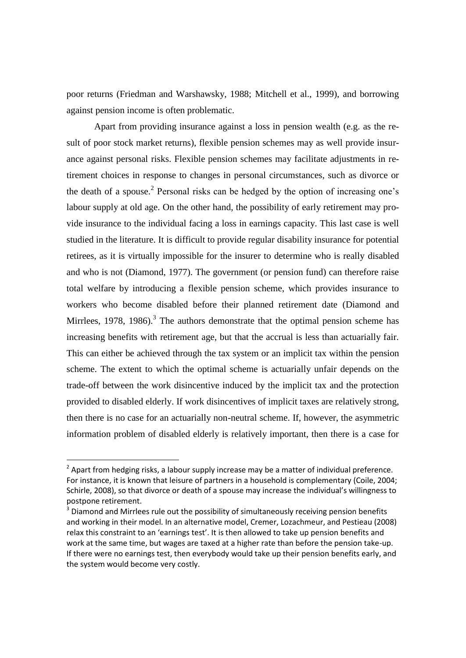poor returns (Friedman and Warshawsky, 1988; Mitchell et al., 1999), and borrowing against pension income is often problematic.

Apart from providing insurance against a loss in pension wealth (e.g. as the result of poor stock market returns), flexible pension schemes may as well provide insurance against personal risks. Flexible pension schemes may facilitate adjustments in retirement choices in response to changes in personal circumstances, such as divorce or the death of a spouse.<sup>2</sup> Personal risks can be hedged by the option of increasing one's labour supply at old age. On the other hand, the possibility of early retirement may provide insurance to the individual facing a loss in earnings capacity. This last case is well studied in the literature. It is difficult to provide regular disability insurance for potential retirees, as it is virtually impossible for the insurer to determine who is really disabled and who is not (Diamond, 1977). The government (or pension fund) can therefore raise total welfare by introducing a flexible pension scheme, which provides insurance to workers who become disabled before their planned retirement date (Diamond and Mirrlees, 1978, 1986).<sup>3</sup> The authors demonstrate that the optimal pension scheme has increasing benefits with retirement age, but that the accrual is less than actuarially fair. This can either be achieved through the tax system or an implicit tax within the pension scheme. The extent to which the optimal scheme is actuarially unfair depends on the trade-off between the work disincentive induced by the implicit tax and the protection provided to disabled elderly. If work disincentives of implicit taxes are relatively strong, then there is no case for an actuarially non-neutral scheme. If, however, the asymmetric information problem of disabled elderly is relatively important, then there is a case for

<u>.</u>

 $2$  Apart from hedging risks, a labour supply increase may be a matter of individual preference. For instance, it is known that leisure of partners in a household is complementary (Coile, 2004; Schirle, 2008), so that divorce or death of a spouse may increase the individual's willingness to postpone retirement.

 $3$  Diamond and Mirrlees rule out the possibility of simultaneously receiving pension benefits and working in their model. In an alternative model, Cremer, Lozachmeur, and Pestieau (2008) relax this constraint to an 'earnings test'. It is then allowed to take up pension benefits and work at the same time, but wages are taxed at a higher rate than before the pension take-up. If there were no earnings test, then everybody would take up their pension benefits early, and the system would become very costly.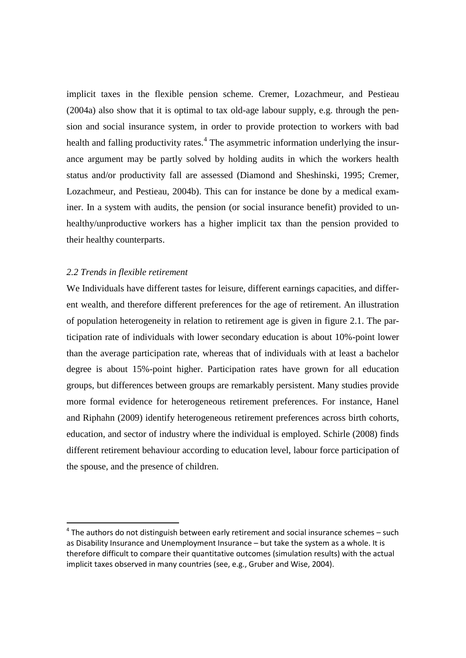implicit taxes in the flexible pension scheme. Cremer, Lozachmeur, and Pestieau (2004a) also show that it is optimal to tax old-age labour supply, e.g. through the pension and social insurance system, in order to provide protection to workers with bad health and falling productivity rates.<sup>4</sup> The asymmetric information underlying the insurance argument may be partly solved by holding audits in which the workers health status and/or productivity fall are assessed (Diamond and Sheshinski, 1995; Cremer, Lozachmeur, and Pestieau, 2004b). This can for instance be done by a medical examiner. In a system with audits, the pension (or social insurance benefit) provided to unhealthy/unproductive workers has a higher implicit tax than the pension provided to their healthy counterparts.

#### *2.2 Trends in flexible retirement*

<u>.</u>

We Individuals have different tastes for leisure, different earnings capacities, and different wealth, and therefore different preferences for the age of retirement. An illustration of population heterogeneity in relation to retirement age is given in figure 2.1. The participation rate of individuals with lower secondary education is about 10%-point lower than the average participation rate, whereas that of individuals with at least a bachelor degree is about 15%-point higher. Participation rates have grown for all education groups, but differences between groups are remarkably persistent. Many studies provide more formal evidence for heterogeneous retirement preferences. For instance, Hanel and Riphahn (2009) identify heterogeneous retirement preferences across birth cohorts, education, and sector of industry where the individual is employed. Schirle (2008) finds different retirement behaviour according to education level, labour force participation of the spouse, and the presence of children.

 $4$  The authors do not distinguish between early retirement and social insurance schemes  $-$  such as Disability Insurance and Unemployment Insurance – but take the system as a whole. It is therefore difficult to compare their quantitative outcomes (simulation results) with the actual implicit taxes observed in many countries (see, e.g., Gruber and Wise, 2004).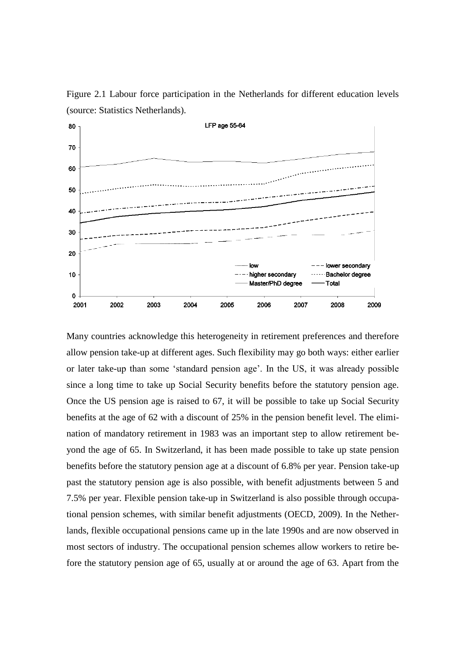

Figure 2.1 Labour force participation in the Netherlands for different education levels (source: Statistics Netherlands).

Many countries acknowledge this heterogeneity in retirement preferences and therefore allow pension take-up at different ages. Such flexibility may go both ways: either earlier or later take-up than some "standard pension age". In the US, it was already possible since a long time to take up Social Security benefits before the statutory pension age. Once the US pension age is raised to 67, it will be possible to take up Social Security benefits at the age of 62 with a discount of 25% in the pension benefit level. The elimination of mandatory retirement in 1983 was an important step to allow retirement beyond the age of 65. In Switzerland, it has been made possible to take up state pension benefits before the statutory pension age at a discount of 6.8% per year. Pension take-up past the statutory pension age is also possible, with benefit adjustments between 5 and 7.5% per year. Flexible pension take-up in Switzerland is also possible through occupational pension schemes, with similar benefit adjustments (OECD, 2009). In the Netherlands, flexible occupational pensions came up in the late 1990s and are now observed in most sectors of industry. The occupational pension schemes allow workers to retire before the statutory pension age of 65, usually at or around the age of 63. Apart from the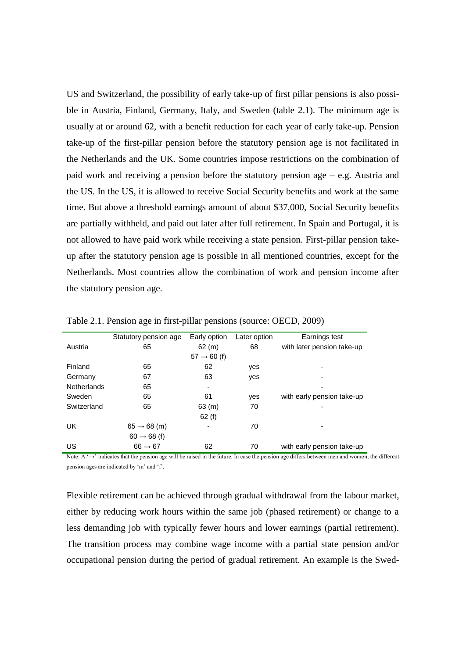US and Switzerland, the possibility of early take-up of first pillar pensions is also possible in Austria, Finland, Germany, Italy, and Sweden (table 2.1). The minimum age is usually at or around 62, with a benefit reduction for each year of early take-up. Pension take-up of the first-pillar pension before the statutory pension age is not facilitated in the Netherlands and the UK. Some countries impose restrictions on the combination of paid work and receiving a pension before the statutory pension age – e.g. Austria and the US. In the US, it is allowed to receive Social Security benefits and work at the same time. But above a threshold earnings amount of about \$37,000, Social Security benefits are partially withheld, and paid out later after full retirement. In Spain and Portugal, it is not allowed to have paid work while receiving a state pension. First-pillar pension takeup after the statutory pension age is possible in all mentioned countries, except for the Netherlands. Most countries allow the combination of work and pension income after the statutory pension age.

|                    | Statutory pension age   | Early option            | Later option | Earnings test                                                                                                                                                                                                                                                                                                      |
|--------------------|-------------------------|-------------------------|--------------|--------------------------------------------------------------------------------------------------------------------------------------------------------------------------------------------------------------------------------------------------------------------------------------------------------------------|
| Austria            | 65                      | 62(m)                   | 68           | with later pension take-up                                                                                                                                                                                                                                                                                         |
|                    |                         | $57 \rightarrow 60$ (f) |              |                                                                                                                                                                                                                                                                                                                    |
| Finland            | 65                      | 62                      | yes          |                                                                                                                                                                                                                                                                                                                    |
| Germany            | 67                      | 63                      | yes          |                                                                                                                                                                                                                                                                                                                    |
| <b>Netherlands</b> | 65                      |                         |              |                                                                                                                                                                                                                                                                                                                    |
| Sweden             | 65                      | 61                      | yes          | with early pension take-up                                                                                                                                                                                                                                                                                         |
| Switzerland        | 65                      | 63(m)                   | 70           |                                                                                                                                                                                                                                                                                                                    |
|                    |                         | 62(f)                   |              |                                                                                                                                                                                                                                                                                                                    |
| UK                 | $65 \to 68$ (m)         |                         | 70           |                                                                                                                                                                                                                                                                                                                    |
|                    | $60 \rightarrow 68$ (f) |                         |              |                                                                                                                                                                                                                                                                                                                    |
| US                 | $66 \rightarrow 67$     | 62                      | 70           | with early pension take-up                                                                                                                                                                                                                                                                                         |
|                    |                         |                         |              | $\mathbf{M}_{\rm{G}}$ , $\mathbf{A}$ , $\mathbf{C}$ , $\mathbf{A}$ , $\mathbf{A}$ , $\mathbf{A}$ , $\mathbf{A}$ , $\mathbf{A}$ , $\mathbf{A}$ , $\mathbf{A}$ , $\mathbf{A}$ , $\mathbf{A}$ , $\mathbf{A}$ , $\mathbf{A}$ , $\mathbf{A}$ , $\mathbf{A}$ , $\mathbf{A}$ , $\mathbf{A}$ , $\mathbf{A}$ , $\mathbf{A}$ |

Table 2.1. Pension age in first-pillar pensions (source: OECD, 2009)

Note: A '→' indicates that the pension age will be raised in the future. In case the pension age differs between men and women, the different pension ages are indicated by "m" and "f".

Flexible retirement can be achieved through gradual withdrawal from the labour market, either by reducing work hours within the same job (phased retirement) or change to a less demanding job with typically fewer hours and lower earnings (partial retirement). The transition process may combine wage income with a partial state pension and/or occupational pension during the period of gradual retirement. An example is the Swed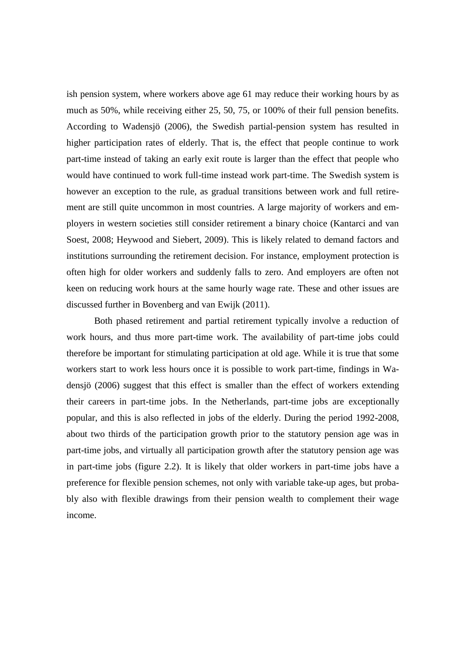ish pension system, where workers above age 61 may reduce their working hours by as much as 50%, while receiving either 25, 50, 75, or 100% of their full pension benefits. According to Wadensjö (2006), the Swedish partial-pension system has resulted in higher participation rates of elderly. That is, the effect that people continue to work part-time instead of taking an early exit route is larger than the effect that people who would have continued to work full-time instead work part-time. The Swedish system is however an exception to the rule, as gradual transitions between work and full retirement are still quite uncommon in most countries. A large majority of workers and employers in western societies still consider retirement a binary choice (Kantarci and van Soest, 2008; Heywood and Siebert, 2009). This is likely related to demand factors and institutions surrounding the retirement decision. For instance, employment protection is often high for older workers and suddenly falls to zero. And employers are often not keen on reducing work hours at the same hourly wage rate. These and other issues are discussed further in Bovenberg and van Ewijk (2011).

Both phased retirement and partial retirement typically involve a reduction of work hours, and thus more part-time work. The availability of part-time jobs could therefore be important for stimulating participation at old age. While it is true that some workers start to work less hours once it is possible to work part-time, findings in Wadensjö (2006) suggest that this effect is smaller than the effect of workers extending their careers in part-time jobs. In the Netherlands, part-time jobs are exceptionally popular, and this is also reflected in jobs of the elderly. During the period 1992-2008, about two thirds of the participation growth prior to the statutory pension age was in part-time jobs, and virtually all participation growth after the statutory pension age was in part-time jobs (figure 2.2). It is likely that older workers in part-time jobs have a preference for flexible pension schemes, not only with variable take-up ages, but probably also with flexible drawings from their pension wealth to complement their wage income.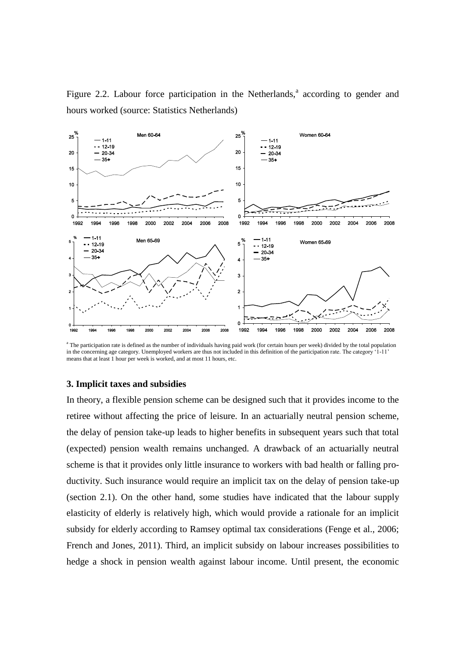

Figure 2.2. Labour force participation in the Netherlands,<sup>a</sup> according to gender and hours worked (source: Statistics Netherlands)

<sup>a</sup> The participation rate is defined as the number of individuals having paid work (for certain hours per week) divided by the total population in the concerning age category. Unemployed workers are thus not included in this definition of the participation rate. The category "1-11" means that at least 1 hour per week is worked, and at most 11 hours, etc.

#### **3. Implicit taxes and subsidies**

In theory, a flexible pension scheme can be designed such that it provides income to the retiree without affecting the price of leisure. In an actuarially neutral pension scheme, the delay of pension take-up leads to higher benefits in subsequent years such that total (expected) pension wealth remains unchanged. A drawback of an actuarially neutral scheme is that it provides only little insurance to workers with bad health or falling productivity. Such insurance would require an implicit tax on the delay of pension take-up (section 2.1). On the other hand, some studies have indicated that the labour supply elasticity of elderly is relatively high, which would provide a rationale for an implicit subsidy for elderly according to Ramsey optimal tax considerations (Fenge et al., 2006; French and Jones, 2011). Third, an implicit subsidy on labour increases possibilities to hedge a shock in pension wealth against labour income. Until present, the economic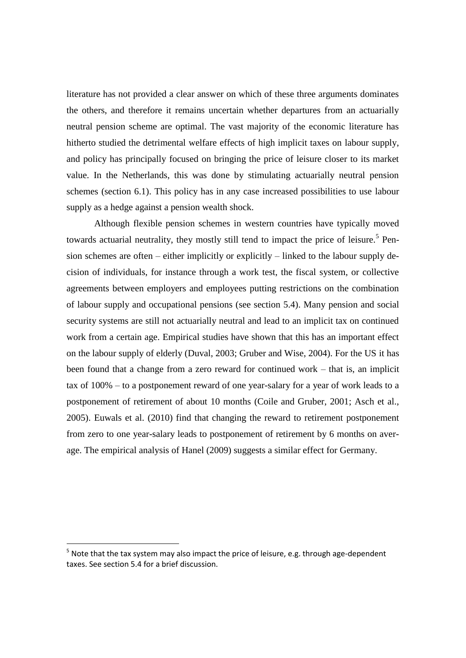literature has not provided a clear answer on which of these three arguments dominates the others, and therefore it remains uncertain whether departures from an actuarially neutral pension scheme are optimal. The vast majority of the economic literature has hitherto studied the detrimental welfare effects of high implicit taxes on labour supply, and policy has principally focused on bringing the price of leisure closer to its market value. In the Netherlands, this was done by stimulating actuarially neutral pension schemes (section 6.1). This policy has in any case increased possibilities to use labour supply as a hedge against a pension wealth shock.

Although flexible pension schemes in western countries have typically moved towards actuarial neutrality, they mostly still tend to impact the price of leisure.<sup>5</sup> Pension schemes are often – either implicitly or explicitly – linked to the labour supply decision of individuals, for instance through a work test, the fiscal system, or collective agreements between employers and employees putting restrictions on the combination of labour supply and occupational pensions (see section 5.4). Many pension and social security systems are still not actuarially neutral and lead to an implicit tax on continued work from a certain age. Empirical studies have shown that this has an important effect on the labour supply of elderly (Duval, 2003; Gruber and Wise, 2004). For the US it has been found that a change from a zero reward for continued work – that is, an implicit tax of 100% – to a postponement reward of one year-salary for a year of work leads to a postponement of retirement of about 10 months (Coile and Gruber, 2001; Asch et al., 2005). Euwals et al. (2010) find that changing the reward to retirement postponement from zero to one year-salary leads to postponement of retirement by 6 months on average. The empirical analysis of Hanel (2009) suggests a similar effect for Germany.

1

 $5$  Note that the tax system may also impact the price of leisure, e.g. through age-dependent taxes. See section 5.4 for a brief discussion.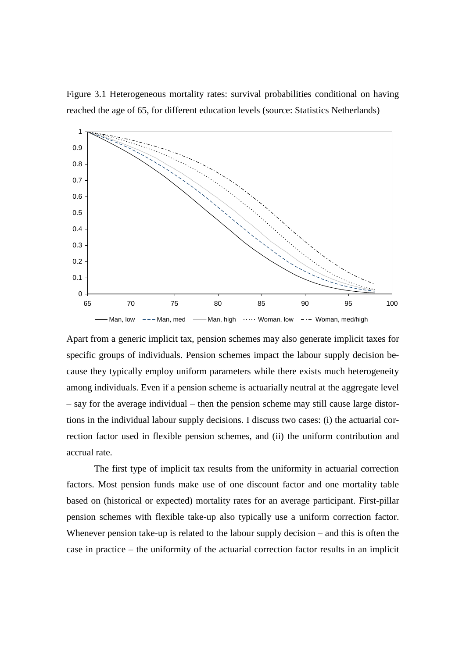Figure 3.1 Heterogeneous mortality rates: survival probabilities conditional on having reached the age of 65, for different education levels (source: Statistics Netherlands)



Apart from a generic implicit tax, pension schemes may also generate implicit taxes for specific groups of individuals. Pension schemes impact the labour supply decision because they typically employ uniform parameters while there exists much heterogeneity among individuals. Even if a pension scheme is actuarially neutral at the aggregate level – say for the average individual – then the pension scheme may still cause large distortions in the individual labour supply decisions. I discuss two cases: (i) the actuarial correction factor used in flexible pension schemes, and (ii) the uniform contribution and accrual rate.

The first type of implicit tax results from the uniformity in actuarial correction factors. Most pension funds make use of one discount factor and one mortality table based on (historical or expected) mortality rates for an average participant. First-pillar pension schemes with flexible take-up also typically use a uniform correction factor. Whenever pension take-up is related to the labour supply decision – and this is often the case in practice – the uniformity of the actuarial correction factor results in an implicit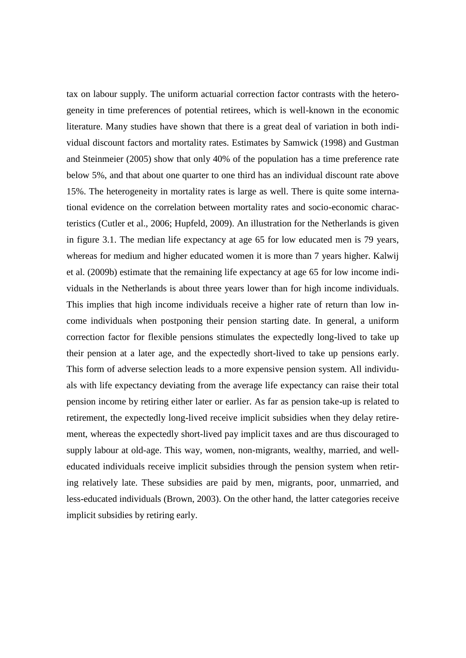tax on labour supply. The uniform actuarial correction factor contrasts with the heterogeneity in time preferences of potential retirees, which is well-known in the economic literature. Many studies have shown that there is a great deal of variation in both individual discount factors and mortality rates. Estimates by Samwick (1998) and Gustman and Steinmeier (2005) show that only 40% of the population has a time preference rate below 5%, and that about one quarter to one third has an individual discount rate above 15%. The heterogeneity in mortality rates is large as well. There is quite some international evidence on the correlation between mortality rates and socio-economic characteristics (Cutler et al., 2006; Hupfeld, 2009). An illustration for the Netherlands is given in figure 3.1. The median life expectancy at age 65 for low educated men is 79 years, whereas for medium and higher educated women it is more than 7 years higher. Kalwij et al. (2009b) estimate that the remaining life expectancy at age 65 for low income individuals in the Netherlands is about three years lower than for high income individuals. This implies that high income individuals receive a higher rate of return than low income individuals when postponing their pension starting date. In general, a uniform correction factor for flexible pensions stimulates the expectedly long-lived to take up their pension at a later age, and the expectedly short-lived to take up pensions early. This form of adverse selection leads to a more expensive pension system. All individuals with life expectancy deviating from the average life expectancy can raise their total pension income by retiring either later or earlier. As far as pension take-up is related to retirement, the expectedly long-lived receive implicit subsidies when they delay retirement, whereas the expectedly short-lived pay implicit taxes and are thus discouraged to supply labour at old-age. This way, women, non-migrants, wealthy, married, and welleducated individuals receive implicit subsidies through the pension system when retiring relatively late. These subsidies are paid by men, migrants, poor, unmarried, and less-educated individuals (Brown, 2003). On the other hand, the latter categories receive implicit subsidies by retiring early.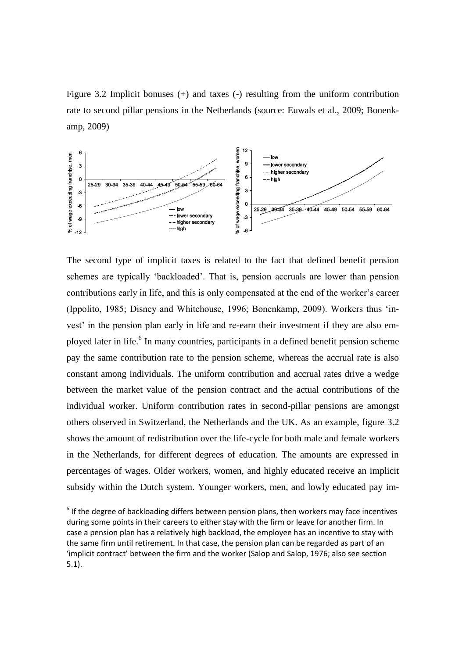Figure 3.2 Implicit bonuses (+) and taxes (-) resulting from the uniform contribution rate to second pillar pensions in the Netherlands (source: Euwals et al., 2009; Bonenkamp, 2009)



The second type of implicit taxes is related to the fact that defined benefit pension schemes are typically "backloaded". That is, pension accruals are lower than pension contributions early in life, and this is only compensated at the end of the worker"s career (Ippolito, 1985; Disney and Whitehouse, 1996; Bonenkamp, 2009). Workers thus "invest' in the pension plan early in life and re-earn their investment if they are also employed later in life.<sup>6</sup> In many countries, participants in a defined benefit pension scheme pay the same contribution rate to the pension scheme, whereas the accrual rate is also constant among individuals. The uniform contribution and accrual rates drive a wedge between the market value of the pension contract and the actual contributions of the individual worker. Uniform contribution rates in second-pillar pensions are amongst others observed in Switzerland, the Netherlands and the UK. As an example, figure 3.2 shows the amount of redistribution over the life-cycle for both male and female workers in the Netherlands, for different degrees of education. The amounts are expressed in percentages of wages. Older workers, women, and highly educated receive an implicit subsidy within the Dutch system. Younger workers, men, and lowly educated pay im-

1

 $<sup>6</sup>$  If the degree of backloading differs between pension plans, then workers may face incentives</sup> during some points in their careers to either stay with the firm or leave for another firm. In case a pension plan has a relatively high backload, the employee has an incentive to stay with the same firm until retirement. In that case, the pension plan can be regarded as part of an 'implicit contract' between the firm and the worker (Salop and Salop, 1976; also see section 5.1).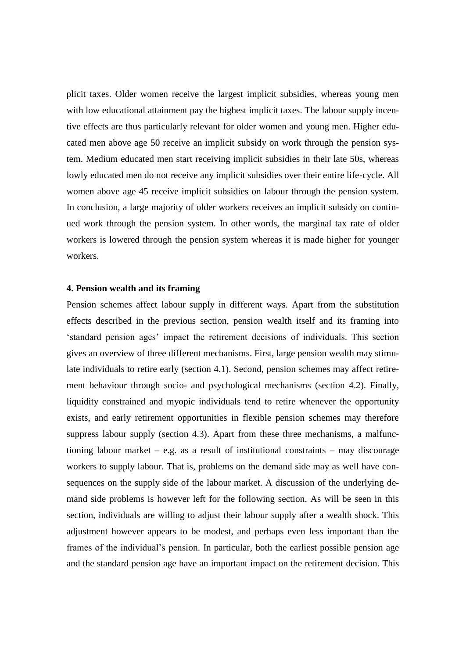plicit taxes. Older women receive the largest implicit subsidies, whereas young men with low educational attainment pay the highest implicit taxes. The labour supply incentive effects are thus particularly relevant for older women and young men. Higher educated men above age 50 receive an implicit subsidy on work through the pension system. Medium educated men start receiving implicit subsidies in their late 50s, whereas lowly educated men do not receive any implicit subsidies over their entire life-cycle. All women above age 45 receive implicit subsidies on labour through the pension system. In conclusion, a large majority of older workers receives an implicit subsidy on continued work through the pension system. In other words, the marginal tax rate of older workers is lowered through the pension system whereas it is made higher for younger workers.

#### **4. Pension wealth and its framing**

Pension schemes affect labour supply in different ways. Apart from the substitution effects described in the previous section, pension wealth itself and its framing into "standard pension ages" impact the retirement decisions of individuals. This section gives an overview of three different mechanisms. First, large pension wealth may stimulate individuals to retire early (section 4.1). Second, pension schemes may affect retirement behaviour through socio- and psychological mechanisms (section 4.2). Finally, liquidity constrained and myopic individuals tend to retire whenever the opportunity exists, and early retirement opportunities in flexible pension schemes may therefore suppress labour supply (section 4.3). Apart from these three mechanisms, a malfunctioning labour market – e.g. as a result of institutional constraints – may discourage workers to supply labour. That is, problems on the demand side may as well have consequences on the supply side of the labour market. A discussion of the underlying demand side problems is however left for the following section. As will be seen in this section, individuals are willing to adjust their labour supply after a wealth shock. This adjustment however appears to be modest, and perhaps even less important than the frames of the individual's pension. In particular, both the earliest possible pension age and the standard pension age have an important impact on the retirement decision. This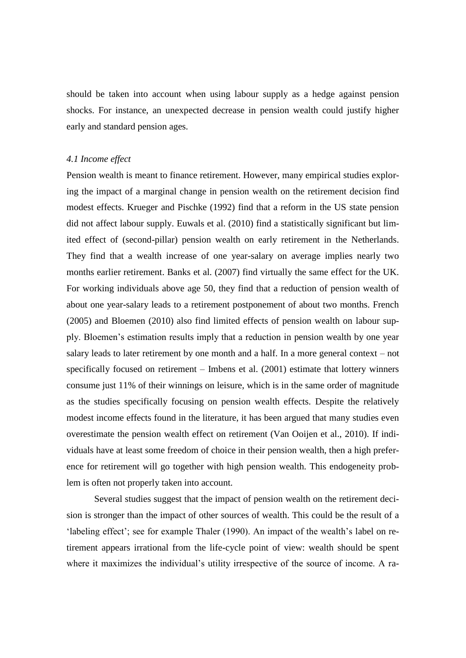should be taken into account when using labour supply as a hedge against pension shocks. For instance, an unexpected decrease in pension wealth could justify higher early and standard pension ages.

#### *4.1 Income effect*

Pension wealth is meant to finance retirement. However, many empirical studies exploring the impact of a marginal change in pension wealth on the retirement decision find modest effects. Krueger and Pischke (1992) find that a reform in the US state pension did not affect labour supply. Euwals et al. (2010) find a statistically significant but limited effect of (second-pillar) pension wealth on early retirement in the Netherlands. They find that a wealth increase of one year-salary on average implies nearly two months earlier retirement. Banks et al. (2007) find virtually the same effect for the UK. For working individuals above age 50, they find that a reduction of pension wealth of about one year-salary leads to a retirement postponement of about two months. French (2005) and Bloemen (2010) also find limited effects of pension wealth on labour supply. Bloemen"s estimation results imply that a reduction in pension wealth by one year salary leads to later retirement by one month and a half. In a more general context – not specifically focused on retirement – Imbens et al. (2001) estimate that lottery winners consume just 11% of their winnings on leisure, which is in the same order of magnitude as the studies specifically focusing on pension wealth effects. Despite the relatively modest income effects found in the literature, it has been argued that many studies even overestimate the pension wealth effect on retirement (Van Ooijen et al., 2010). If individuals have at least some freedom of choice in their pension wealth, then a high preference for retirement will go together with high pension wealth. This endogeneity problem is often not properly taken into account.

Several studies suggest that the impact of pension wealth on the retirement decision is stronger than the impact of other sources of wealth. This could be the result of a 'labeling effect'; see for example Thaler (1990). An impact of the wealth's label on retirement appears irrational from the life-cycle point of view: wealth should be spent where it maximizes the individual's utility irrespective of the source of income. A ra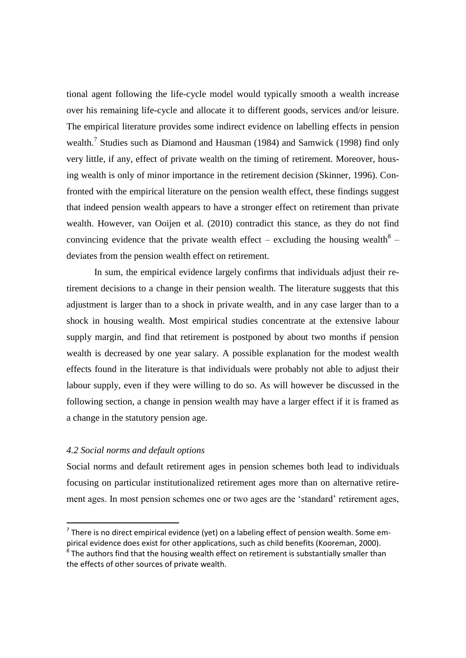tional agent following the life-cycle model would typically smooth a wealth increase over his remaining life-cycle and allocate it to different goods, services and/or leisure. The empirical literature provides some indirect evidence on labelling effects in pension wealth.<sup>7</sup> Studies such as Diamond and Hausman (1984) and Samwick (1998) find only very little, if any, effect of private wealth on the timing of retirement. Moreover, housing wealth is only of minor importance in the retirement decision (Skinner, 1996). Confronted with the empirical literature on the pension wealth effect, these findings suggest that indeed pension wealth appears to have a stronger effect on retirement than private wealth. However, van Ooijen et al. (2010) contradict this stance, as they do not find convincing evidence that the private wealth effect – excluding the housing wealth $8$  – deviates from the pension wealth effect on retirement.

In sum, the empirical evidence largely confirms that individuals adjust their retirement decisions to a change in their pension wealth. The literature suggests that this adjustment is larger than to a shock in private wealth, and in any case larger than to a shock in housing wealth. Most empirical studies concentrate at the extensive labour supply margin, and find that retirement is postponed by about two months if pension wealth is decreased by one year salary. A possible explanation for the modest wealth effects found in the literature is that individuals were probably not able to adjust their labour supply, even if they were willing to do so. As will however be discussed in the following section, a change in pension wealth may have a larger effect if it is framed as a change in the statutory pension age.

#### *4.2 Social norms and default options*

<u>.</u>

Social norms and default retirement ages in pension schemes both lead to individuals focusing on particular institutionalized retirement ages more than on alternative retirement ages. In most pension schemes one or two ages are the "standard" retirement ages,

 $<sup>7</sup>$  There is no direct empirical evidence (yet) on a labeling effect of pension wealth. Some em-</sup> pirical evidence does exist for other applications, such as child benefits (Kooreman, 2000).

 ${}^{8}$  The authors find that the housing wealth effect on retirement is substantially smaller than the effects of other sources of private wealth.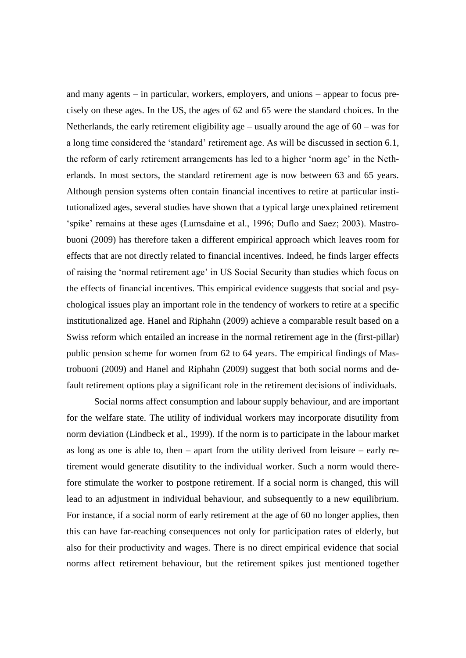and many agents – in particular, workers, employers, and unions – appear to focus precisely on these ages. In the US, the ages of 62 and 65 were the standard choices. In the Netherlands, the early retirement eligibility age – usually around the age of 60 – was for a long time considered the "standard" retirement age. As will be discussed in section 6.1, the reform of early retirement arrangements has led to a higher "norm age" in the Netherlands. In most sectors, the standard retirement age is now between 63 and 65 years. Although pension systems often contain financial incentives to retire at particular institutionalized ages, several studies have shown that a typical large unexplained retirement 'spike' remains at these ages (Lumsdaine et al., 1996; Duflo and Saez; 2003). Mastrobuoni (2009) has therefore taken a different empirical approach which leaves room for effects that are not directly related to financial incentives. Indeed, he finds larger effects of raising the "normal retirement age" in US Social Security than studies which focus on the effects of financial incentives. This empirical evidence suggests that social and psychological issues play an important role in the tendency of workers to retire at a specific institutionalized age. Hanel and Riphahn (2009) achieve a comparable result based on a Swiss reform which entailed an increase in the normal retirement age in the (first-pillar) public pension scheme for women from 62 to 64 years. The empirical findings of Mastrobuoni (2009) and Hanel and Riphahn (2009) suggest that both social norms and default retirement options play a significant role in the retirement decisions of individuals.

Social norms affect consumption and labour supply behaviour, and are important for the welfare state. The utility of individual workers may incorporate disutility from norm deviation (Lindbeck et al., 1999). If the norm is to participate in the labour market as long as one is able to, then – apart from the utility derived from leisure – early retirement would generate disutility to the individual worker. Such a norm would therefore stimulate the worker to postpone retirement. If a social norm is changed, this will lead to an adjustment in individual behaviour, and subsequently to a new equilibrium. For instance, if a social norm of early retirement at the age of 60 no longer applies, then this can have far-reaching consequences not only for participation rates of elderly, but also for their productivity and wages. There is no direct empirical evidence that social norms affect retirement behaviour, but the retirement spikes just mentioned together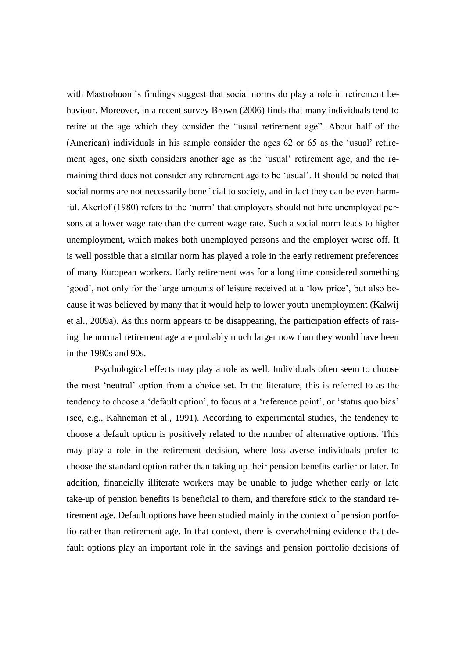with Mastrobuoni's findings suggest that social norms do play a role in retirement behaviour. Moreover, in a recent survey Brown (2006) finds that many individuals tend to retire at the age which they consider the "usual retirement age". About half of the (American) individuals in his sample consider the ages 62 or 65 as the "usual" retirement ages, one sixth considers another age as the "usual" retirement age, and the remaining third does not consider any retirement age to be "usual". It should be noted that social norms are not necessarily beneficial to society, and in fact they can be even harmful. Akerlof (1980) refers to the 'norm' that employers should not hire unemployed persons at a lower wage rate than the current wage rate. Such a social norm leads to higher unemployment, which makes both unemployed persons and the employer worse off. It is well possible that a similar norm has played a role in the early retirement preferences of many European workers. Early retirement was for a long time considered something "good", not only for the large amounts of leisure received at a 'low price', but also because it was believed by many that it would help to lower youth unemployment (Kalwij et al., 2009a). As this norm appears to be disappearing, the participation effects of raising the normal retirement age are probably much larger now than they would have been in the 1980s and 90s.

Psychological effects may play a role as well. Individuals often seem to choose the most "neutral" option from a choice set. In the literature, this is referred to as the tendency to choose a "default option", to focus at a "reference point", or "status quo bias" (see, e.g., Kahneman et al., 1991). According to experimental studies, the tendency to choose a default option is positively related to the number of alternative options. This may play a role in the retirement decision, where loss averse individuals prefer to choose the standard option rather than taking up their pension benefits earlier or later. In addition, financially illiterate workers may be unable to judge whether early or late take-up of pension benefits is beneficial to them, and therefore stick to the standard retirement age. Default options have been studied mainly in the context of pension portfolio rather than retirement age. In that context, there is overwhelming evidence that default options play an important role in the savings and pension portfolio decisions of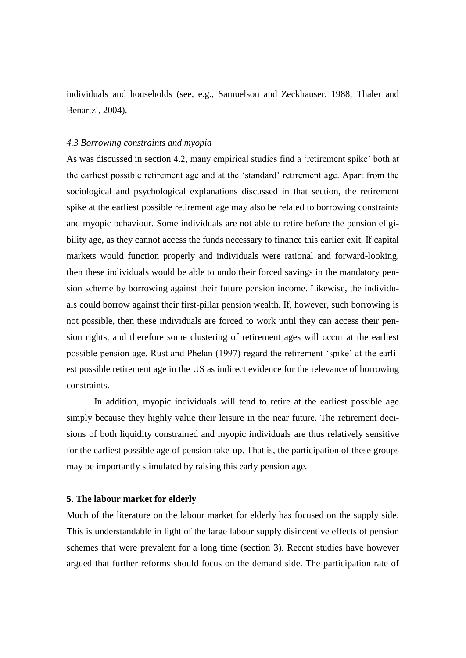individuals and households (see, e.g., Samuelson and Zeckhauser, 1988; Thaler and Benartzi, 2004).

#### *4.3 Borrowing constraints and myopia*

As was discussed in section 4.2, many empirical studies find a "retirement spike" both at the earliest possible retirement age and at the "standard" retirement age. Apart from the sociological and psychological explanations discussed in that section, the retirement spike at the earliest possible retirement age may also be related to borrowing constraints and myopic behaviour. Some individuals are not able to retire before the pension eligibility age, as they cannot access the funds necessary to finance this earlier exit. If capital markets would function properly and individuals were rational and forward-looking, then these individuals would be able to undo their forced savings in the mandatory pension scheme by borrowing against their future pension income. Likewise, the individuals could borrow against their first-pillar pension wealth. If, however, such borrowing is not possible, then these individuals are forced to work until they can access their pension rights, and therefore some clustering of retirement ages will occur at the earliest possible pension age. Rust and Phelan (1997) regard the retirement "spike" at the earliest possible retirement age in the US as indirect evidence for the relevance of borrowing constraints.

In addition, myopic individuals will tend to retire at the earliest possible age simply because they highly value their leisure in the near future. The retirement decisions of both liquidity constrained and myopic individuals are thus relatively sensitive for the earliest possible age of pension take-up. That is, the participation of these groups may be importantly stimulated by raising this early pension age.

#### **5. The labour market for elderly**

Much of the literature on the labour market for elderly has focused on the supply side. This is understandable in light of the large labour supply disincentive effects of pension schemes that were prevalent for a long time (section 3). Recent studies have however argued that further reforms should focus on the demand side. The participation rate of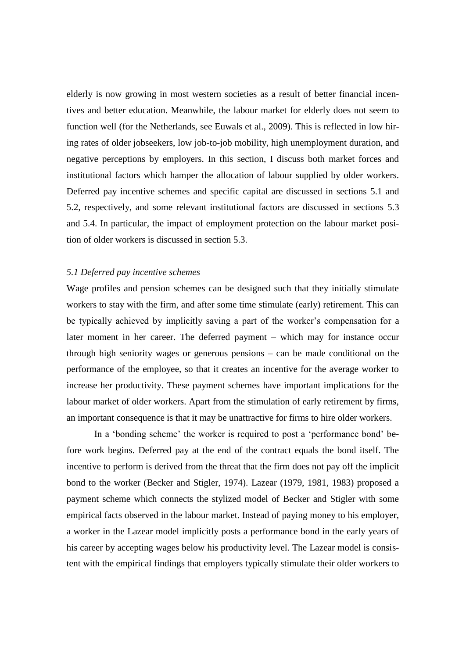elderly is now growing in most western societies as a result of better financial incentives and better education. Meanwhile, the labour market for elderly does not seem to function well (for the Netherlands, see Euwals et al., 2009). This is reflected in low hiring rates of older jobseekers, low job-to-job mobility, high unemployment duration, and negative perceptions by employers. In this section, I discuss both market forces and institutional factors which hamper the allocation of labour supplied by older workers. Deferred pay incentive schemes and specific capital are discussed in sections 5.1 and 5.2, respectively, and some relevant institutional factors are discussed in sections 5.3 and 5.4. In particular, the impact of employment protection on the labour market position of older workers is discussed in section 5.3.

#### *5.1 Deferred pay incentive schemes*

Wage profiles and pension schemes can be designed such that they initially stimulate workers to stay with the firm, and after some time stimulate (early) retirement. This can be typically achieved by implicitly saving a part of the worker's compensation for a later moment in her career. The deferred payment – which may for instance occur through high seniority wages or generous pensions – can be made conditional on the performance of the employee, so that it creates an incentive for the average worker to increase her productivity. These payment schemes have important implications for the labour market of older workers. Apart from the stimulation of early retirement by firms, an important consequence is that it may be unattractive for firms to hire older workers.

In a 'bonding scheme' the worker is required to post a 'performance bond' before work begins. Deferred pay at the end of the contract equals the bond itself. The incentive to perform is derived from the threat that the firm does not pay off the implicit bond to the worker (Becker and Stigler, 1974). Lazear (1979, 1981, 1983) proposed a payment scheme which connects the stylized model of Becker and Stigler with some empirical facts observed in the labour market. Instead of paying money to his employer, a worker in the Lazear model implicitly posts a performance bond in the early years of his career by accepting wages below his productivity level. The Lazear model is consistent with the empirical findings that employers typically stimulate their older workers to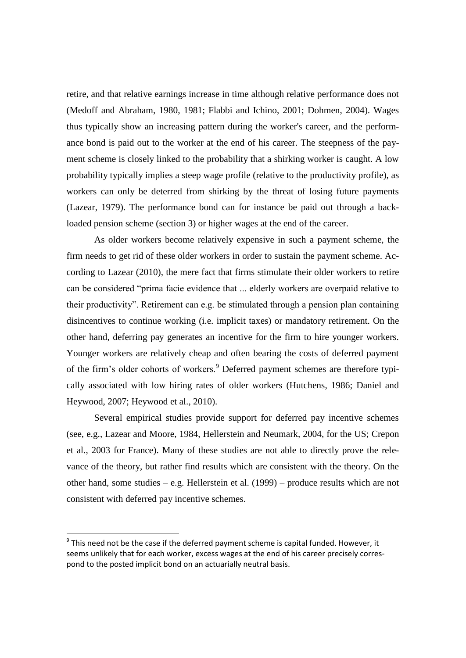retire, and that relative earnings increase in time although relative performance does not (Medoff and Abraham, 1980, 1981; Flabbi and Ichino, 2001; Dohmen, 2004). Wages thus typically show an increasing pattern during the worker's career, and the performance bond is paid out to the worker at the end of his career. The steepness of the payment scheme is closely linked to the probability that a shirking worker is caught. A low probability typically implies a steep wage profile (relative to the productivity profile), as workers can only be deterred from shirking by the threat of losing future payments (Lazear, 1979). The performance bond can for instance be paid out through a backloaded pension scheme (section 3) or higher wages at the end of the career.

As older workers become relatively expensive in such a payment scheme, the firm needs to get rid of these older workers in order to sustain the payment scheme. According to Lazear (2010), the mere fact that firms stimulate their older workers to retire can be considered "prima facie evidence that ... elderly workers are overpaid relative to their productivity". Retirement can e.g. be stimulated through a pension plan containing disincentives to continue working (i.e. implicit taxes) or mandatory retirement. On the other hand, deferring pay generates an incentive for the firm to hire younger workers. Younger workers are relatively cheap and often bearing the costs of deferred payment of the firm's older cohorts of workers.<sup>9</sup> Deferred payment schemes are therefore typically associated with low hiring rates of older workers (Hutchens, 1986; Daniel and Heywood, 2007; Heywood et al., 2010).

Several empirical studies provide support for deferred pay incentive schemes (see, e.g., Lazear and Moore, 1984, Hellerstein and Neumark, 2004, for the US; Crepon et al., 2003 for France). Many of these studies are not able to directly prove the relevance of the theory, but rather find results which are consistent with the theory. On the other hand, some studies – e.g. Hellerstein et al. (1999) – produce results which are not consistent with deferred pay incentive schemes.

1

 $9$  This need not be the case if the deferred payment scheme is capital funded. However, it seems unlikely that for each worker, excess wages at the end of his career precisely correspond to the posted implicit bond on an actuarially neutral basis.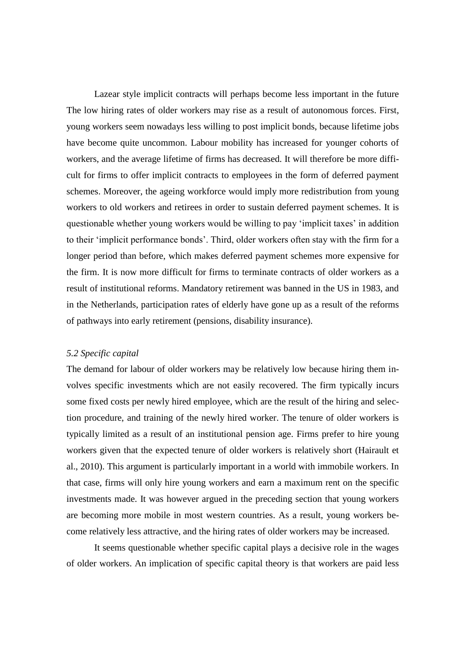Lazear style implicit contracts will perhaps become less important in the future The low hiring rates of older workers may rise as a result of autonomous forces. First, young workers seem nowadays less willing to post implicit bonds, because lifetime jobs have become quite uncommon. Labour mobility has increased for younger cohorts of workers, and the average lifetime of firms has decreased. It will therefore be more difficult for firms to offer implicit contracts to employees in the form of deferred payment schemes. Moreover, the ageing workforce would imply more redistribution from young workers to old workers and retirees in order to sustain deferred payment schemes. It is questionable whether young workers would be willing to pay 'implicit taxes' in addition to their "implicit performance bonds". Third, older workers often stay with the firm for a longer period than before, which makes deferred payment schemes more expensive for the firm. It is now more difficult for firms to terminate contracts of older workers as a result of institutional reforms. Mandatory retirement was banned in the US in 1983, and in the Netherlands, participation rates of elderly have gone up as a result of the reforms of pathways into early retirement (pensions, disability insurance).

#### *5.2 Specific capital*

The demand for labour of older workers may be relatively low because hiring them involves specific investments which are not easily recovered. The firm typically incurs some fixed costs per newly hired employee, which are the result of the hiring and selection procedure, and training of the newly hired worker. The tenure of older workers is typically limited as a result of an institutional pension age. Firms prefer to hire young workers given that the expected tenure of older workers is relatively short (Hairault et al., 2010). This argument is particularly important in a world with immobile workers. In that case, firms will only hire young workers and earn a maximum rent on the specific investments made. It was however argued in the preceding section that young workers are becoming more mobile in most western countries. As a result, young workers become relatively less attractive, and the hiring rates of older workers may be increased.

It seems questionable whether specific capital plays a decisive role in the wages of older workers. An implication of specific capital theory is that workers are paid less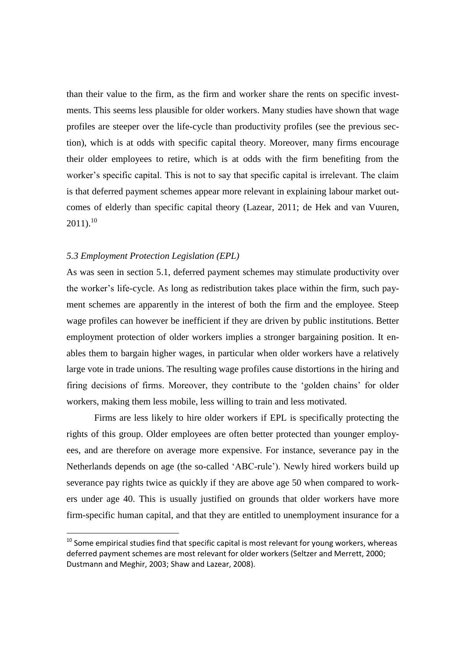than their value to the firm, as the firm and worker share the rents on specific investments. This seems less plausible for older workers. Many studies have shown that wage profiles are steeper over the life-cycle than productivity profiles (see the previous section), which is at odds with specific capital theory. Moreover, many firms encourage their older employees to retire, which is at odds with the firm benefiting from the worker's specific capital. This is not to say that specific capital is irrelevant. The claim is that deferred payment schemes appear more relevant in explaining labour market outcomes of elderly than specific capital theory (Lazear, 2011; de Hek and van Vuuren,  $2011$ ).<sup>10</sup>

#### *5.3 Employment Protection Legislation (EPL)*

1

As was seen in section 5.1, deferred payment schemes may stimulate productivity over the worker"s life-cycle. As long as redistribution takes place within the firm, such payment schemes are apparently in the interest of both the firm and the employee. Steep wage profiles can however be inefficient if they are driven by public institutions. Better employment protection of older workers implies a stronger bargaining position. It enables them to bargain higher wages, in particular when older workers have a relatively large vote in trade unions. The resulting wage profiles cause distortions in the hiring and firing decisions of firms. Moreover, they contribute to the "golden chains" for older workers, making them less mobile, less willing to train and less motivated.

Firms are less likely to hire older workers if EPL is specifically protecting the rights of this group. Older employees are often better protected than younger employees, and are therefore on average more expensive. For instance, severance pay in the Netherlands depends on age (the so-called 'ABC-rule'). Newly hired workers build up severance pay rights twice as quickly if they are above age 50 when compared to workers under age 40. This is usually justified on grounds that older workers have more firm-specific human capital, and that they are entitled to unemployment insurance for a

 $10$  Some empirical studies find that specific capital is most relevant for young workers, whereas deferred payment schemes are most relevant for older workers (Seltzer and Merrett, 2000; Dustmann and Meghir, 2003; Shaw and Lazear, 2008).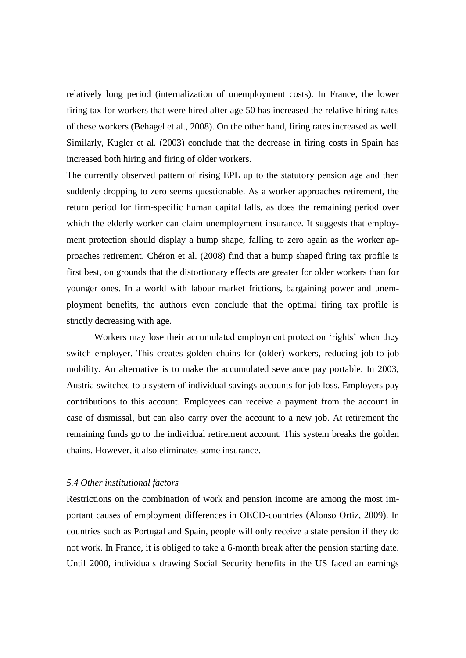relatively long period (internalization of unemployment costs). In France, the lower firing tax for workers that were hired after age 50 has increased the relative hiring rates of these workers (Behagel et al., 2008). On the other hand, firing rates increased as well. Similarly, Kugler et al. (2003) conclude that the decrease in firing costs in Spain has increased both hiring and firing of older workers.

The currently observed pattern of rising EPL up to the statutory pension age and then suddenly dropping to zero seems questionable. As a worker approaches retirement, the return period for firm-specific human capital falls, as does the remaining period over which the elderly worker can claim unemployment insurance. It suggests that employment protection should display a hump shape, falling to zero again as the worker approaches retirement. Chéron et al. (2008) find that a hump shaped firing tax profile is first best, on grounds that the distortionary effects are greater for older workers than for younger ones. In a world with labour market frictions, bargaining power and unemployment benefits, the authors even conclude that the optimal firing tax profile is strictly decreasing with age.

Workers may lose their accumulated employment protection 'rights' when they switch employer. This creates golden chains for (older) workers, reducing job-to-job mobility. An alternative is to make the accumulated severance pay portable. In 2003, Austria switched to a system of individual savings accounts for job loss. Employers pay contributions to this account. Employees can receive a payment from the account in case of dismissal, but can also carry over the account to a new job. At retirement the remaining funds go to the individual retirement account. This system breaks the golden chains. However, it also eliminates some insurance.

#### *5.4 Other institutional factors*

Restrictions on the combination of work and pension income are among the most important causes of employment differences in OECD-countries (Alonso Ortiz, 2009). In countries such as Portugal and Spain, people will only receive a state pension if they do not work. In France, it is obliged to take a 6-month break after the pension starting date. Until 2000, individuals drawing Social Security benefits in the US faced an earnings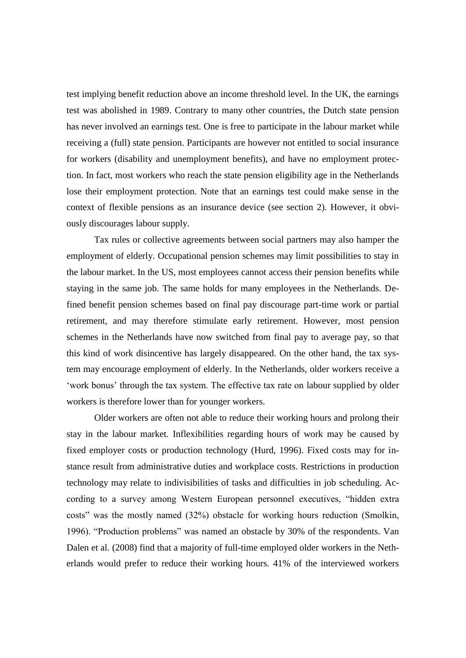test implying benefit reduction above an income threshold level. In the UK, the earnings test was abolished in 1989. Contrary to many other countries, the Dutch state pension has never involved an earnings test. One is free to participate in the labour market while receiving a (full) state pension. Participants are however not entitled to social insurance for workers (disability and unemployment benefits), and have no employment protection. In fact, most workers who reach the state pension eligibility age in the Netherlands lose their employment protection. Note that an earnings test could make sense in the context of flexible pensions as an insurance device (see section 2). However, it obviously discourages labour supply.

Tax rules or collective agreements between social partners may also hamper the employment of elderly. Occupational pension schemes may limit possibilities to stay in the labour market. In the US, most employees cannot access their pension benefits while staying in the same job. The same holds for many employees in the Netherlands. Defined benefit pension schemes based on final pay discourage part-time work or partial retirement, and may therefore stimulate early retirement. However, most pension schemes in the Netherlands have now switched from final pay to average pay, so that this kind of work disincentive has largely disappeared. On the other hand, the tax system may encourage employment of elderly. In the Netherlands, older workers receive a "work bonus" through the tax system. The effective tax rate on labour supplied by older workers is therefore lower than for younger workers.

Older workers are often not able to reduce their working hours and prolong their stay in the labour market. Inflexibilities regarding hours of work may be caused by fixed employer costs or production technology (Hurd, 1996). Fixed costs may for instance result from administrative duties and workplace costs. Restrictions in production technology may relate to indivisibilities of tasks and difficulties in job scheduling. According to a survey among Western European personnel executives, "hidden extra costs" was the mostly named (32%) obstacle for working hours reduction (Smolkin, 1996). "Production problems" was named an obstacle by 30% of the respondents. Van Dalen et al. (2008) find that a majority of full-time employed older workers in the Netherlands would prefer to reduce their working hours. 41% of the interviewed workers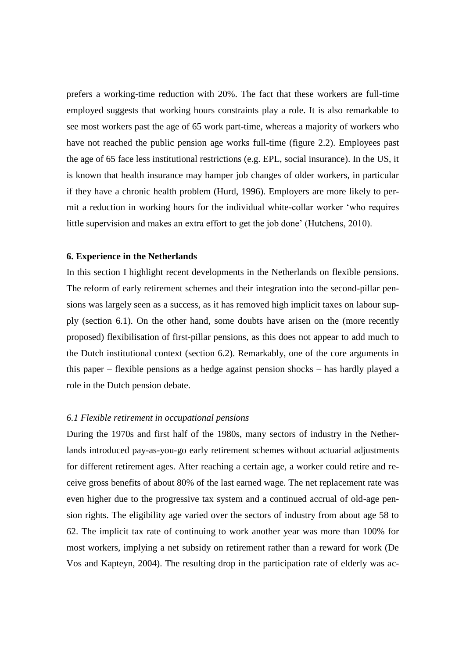prefers a working-time reduction with 20%. The fact that these workers are full-time employed suggests that working hours constraints play a role. It is also remarkable to see most workers past the age of 65 work part-time, whereas a majority of workers who have not reached the public pension age works full-time (figure 2.2). Employees past the age of 65 face less institutional restrictions (e.g. EPL, social insurance). In the US, it is known that health insurance may hamper job changes of older workers, in particular if they have a chronic health problem (Hurd, 1996). Employers are more likely to permit a reduction in working hours for the individual white-collar worker "who requires little supervision and makes an extra effort to get the job done' (Hutchens, 2010).

# **6. Experience in the Netherlands**

In this section I highlight recent developments in the Netherlands on flexible pensions. The reform of early retirement schemes and their integration into the second-pillar pensions was largely seen as a success, as it has removed high implicit taxes on labour supply (section 6.1). On the other hand, some doubts have arisen on the (more recently proposed) flexibilisation of first-pillar pensions, as this does not appear to add much to the Dutch institutional context (section 6.2). Remarkably, one of the core arguments in this paper – flexible pensions as a hedge against pension shocks – has hardly played a role in the Dutch pension debate.

#### *6.1 Flexible retirement in occupational pensions*

During the 1970s and first half of the 1980s, many sectors of industry in the Netherlands introduced pay-as-you-go early retirement schemes without actuarial adjustments for different retirement ages. After reaching a certain age, a worker could retire and receive gross benefits of about 80% of the last earned wage. The net replacement rate was even higher due to the progressive tax system and a continued accrual of old-age pension rights. The eligibility age varied over the sectors of industry from about age 58 to 62. The implicit tax rate of continuing to work another year was more than 100% for most workers, implying a net subsidy on retirement rather than a reward for work (De Vos and Kapteyn, 2004). The resulting drop in the participation rate of elderly was ac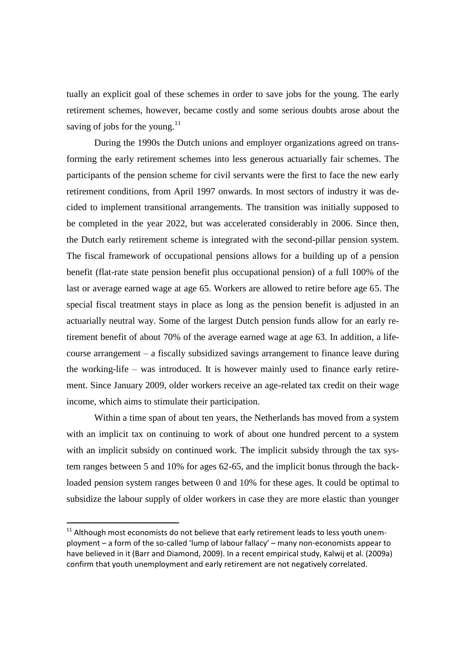tually an explicit goal of these schemes in order to save jobs for the young. The early retirement schemes, however, became costly and some serious doubts arose about the saving of jobs for the young. $^{11}$ 

During the 1990s the Dutch unions and employer organizations agreed on transforming the early retirement schemes into less generous actuarially fair schemes. The participants of the pension scheme for civil servants were the first to face the new early retirement conditions, from April 1997 onwards. In most sectors of industry it was decided to implement transitional arrangements. The transition was initially supposed to be completed in the year 2022, but was accelerated considerably in 2006. Since then, the Dutch early retirement scheme is integrated with the second-pillar pension system. The fiscal framework of occupational pensions allows for a building up of a pension benefit (flat-rate state pension benefit plus occupational pension) of a full 100% of the last or average earned wage at age 65. Workers are allowed to retire before age 65. The special fiscal treatment stays in place as long as the pension benefit is adjusted in an actuarially neutral way. Some of the largest Dutch pension funds allow for an early retirement benefit of about 70% of the average earned wage at age 63. In addition, a lifecourse arrangement – a fiscally subsidized savings arrangement to finance leave during the working-life – was introduced. It is however mainly used to finance early retirement. Since January 2009, older workers receive an age-related tax credit on their wage income, which aims to stimulate their participation.

Within a time span of about ten years, the Netherlands has moved from a system with an implicit tax on continuing to work of about one hundred percent to a system with an implicit subsidy on continued work. The implicit subsidy through the tax system ranges between 5 and 10% for ages 62-65, and the implicit bonus through the backloaded pension system ranges between 0 and 10% for these ages. It could be optimal to subsidize the labour supply of older workers in case they are more elastic than younger

<u>.</u>

 $11$  Although most economists do not believe that early retirement leads to less youth unemployment – a form of the so-called 'lump of labour fallacy' – many non-economists appear to have believed in it (Barr and Diamond, 2009). In a recent empirical study, Kalwij et al. (2009a) confirm that youth unemployment and early retirement are not negatively correlated.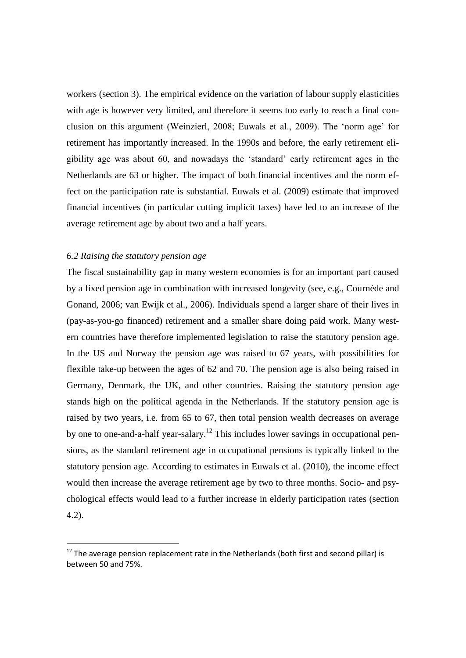workers (section 3). The empirical evidence on the variation of labour supply elasticities with age is however very limited, and therefore it seems too early to reach a final conclusion on this argument (Weinzierl, 2008; Euwals et al., 2009). The "norm age" for retirement has importantly increased. In the 1990s and before, the early retirement eligibility age was about 60, and nowadays the "standard" early retirement ages in the Netherlands are 63 or higher. The impact of both financial incentives and the norm effect on the participation rate is substantial. Euwals et al. (2009) estimate that improved financial incentives (in particular cutting implicit taxes) have led to an increase of the average retirement age by about two and a half years.

#### *6.2 Raising the statutory pension age*

1

The fiscal sustainability gap in many western economies is for an important part caused by a fixed pension age in combination with increased longevity (see, e.g., Cournède and Gonand, 2006; van Ewijk et al., 2006). Individuals spend a larger share of their lives in (pay-as-you-go financed) retirement and a smaller share doing paid work. Many western countries have therefore implemented legislation to raise the statutory pension age. In the US and Norway the pension age was raised to 67 years, with possibilities for flexible take-up between the ages of 62 and 70. The pension age is also being raised in Germany, Denmark, the UK, and other countries. Raising the statutory pension age stands high on the political agenda in the Netherlands. If the statutory pension age is raised by two years, i.e. from 65 to 67, then total pension wealth decreases on average by one to one-and-a-half year-salary.<sup>12</sup> This includes lower savings in occupational pensions, as the standard retirement age in occupational pensions is typically linked to the statutory pension age. According to estimates in Euwals et al. (2010), the income effect would then increase the average retirement age by two to three months. Socio- and psychological effects would lead to a further increase in elderly participation rates (section 4.2).

 $12$  The average pension replacement rate in the Netherlands (both first and second pillar) is between 50 and 75%.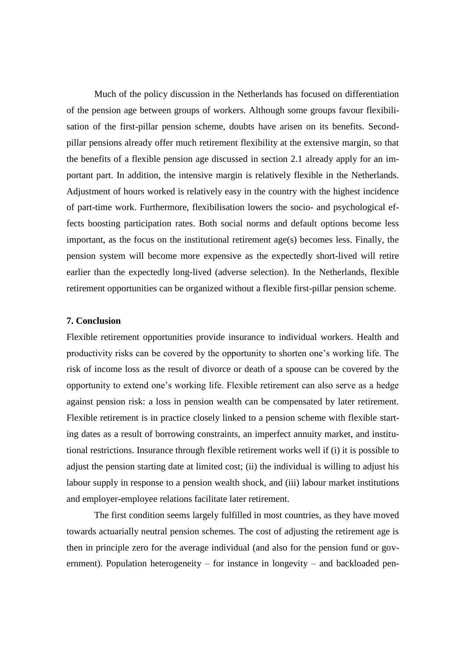Much of the policy discussion in the Netherlands has focused on differentiation of the pension age between groups of workers. Although some groups favour flexibilisation of the first-pillar pension scheme, doubts have arisen on its benefits. Secondpillar pensions already offer much retirement flexibility at the extensive margin, so that the benefits of a flexible pension age discussed in section 2.1 already apply for an important part. In addition, the intensive margin is relatively flexible in the Netherlands. Adjustment of hours worked is relatively easy in the country with the highest incidence of part-time work. Furthermore, flexibilisation lowers the socio- and psychological effects boosting participation rates. Both social norms and default options become less important, as the focus on the institutional retirement age(s) becomes less. Finally, the pension system will become more expensive as the expectedly short-lived will retire earlier than the expectedly long-lived (adverse selection). In the Netherlands, flexible retirement opportunities can be organized without a flexible first-pillar pension scheme.

#### **7. Conclusion**

Flexible retirement opportunities provide insurance to individual workers. Health and productivity risks can be covered by the opportunity to shorten one"s working life. The risk of income loss as the result of divorce or death of a spouse can be covered by the opportunity to extend one"s working life. Flexible retirement can also serve as a hedge against pension risk: a loss in pension wealth can be compensated by later retirement. Flexible retirement is in practice closely linked to a pension scheme with flexible starting dates as a result of borrowing constraints, an imperfect annuity market, and institutional restrictions. Insurance through flexible retirement works well if (i) it is possible to adjust the pension starting date at limited cost; (ii) the individual is willing to adjust his labour supply in response to a pension wealth shock, and (iii) labour market institutions and employer-employee relations facilitate later retirement.

The first condition seems largely fulfilled in most countries, as they have moved towards actuarially neutral pension schemes. The cost of adjusting the retirement age is then in principle zero for the average individual (and also for the pension fund or government). Population heterogeneity – for instance in longevity – and backloaded pen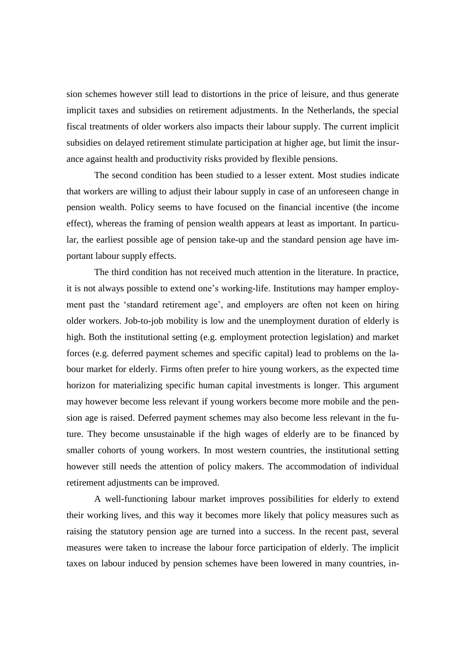sion schemes however still lead to distortions in the price of leisure, and thus generate implicit taxes and subsidies on retirement adjustments. In the Netherlands, the special fiscal treatments of older workers also impacts their labour supply. The current implicit subsidies on delayed retirement stimulate participation at higher age, but limit the insurance against health and productivity risks provided by flexible pensions.

The second condition has been studied to a lesser extent. Most studies indicate that workers are willing to adjust their labour supply in case of an unforeseen change in pension wealth. Policy seems to have focused on the financial incentive (the income effect), whereas the framing of pension wealth appears at least as important. In particular, the earliest possible age of pension take-up and the standard pension age have important labour supply effects.

The third condition has not received much attention in the literature. In practice, it is not always possible to extend one's working-life. Institutions may hamper employment past the 'standard retirement age', and employers are often not keen on hiring older workers. Job-to-job mobility is low and the unemployment duration of elderly is high. Both the institutional setting (e.g. employment protection legislation) and market forces (e.g. deferred payment schemes and specific capital) lead to problems on the labour market for elderly. Firms often prefer to hire young workers, as the expected time horizon for materializing specific human capital investments is longer. This argument may however become less relevant if young workers become more mobile and the pension age is raised. Deferred payment schemes may also become less relevant in the future. They become unsustainable if the high wages of elderly are to be financed by smaller cohorts of young workers. In most western countries, the institutional setting however still needs the attention of policy makers. The accommodation of individual retirement adjustments can be improved.

A well-functioning labour market improves possibilities for elderly to extend their working lives, and this way it becomes more likely that policy measures such as raising the statutory pension age are turned into a success. In the recent past, several measures were taken to increase the labour force participation of elderly. The implicit taxes on labour induced by pension schemes have been lowered in many countries, in-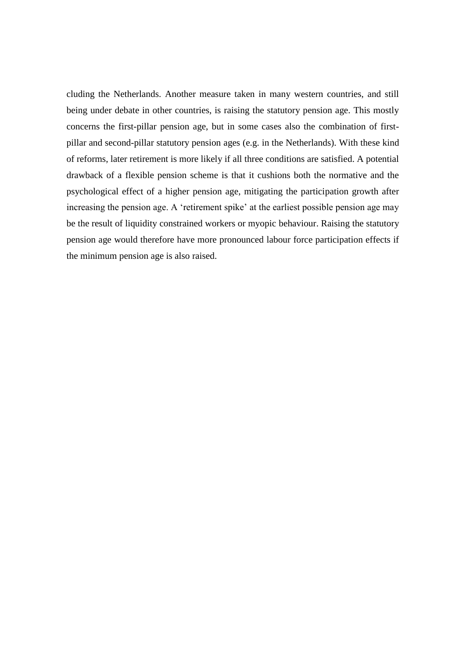cluding the Netherlands. Another measure taken in many western countries, and still being under debate in other countries, is raising the statutory pension age. This mostly concerns the first-pillar pension age, but in some cases also the combination of firstpillar and second-pillar statutory pension ages (e.g. in the Netherlands). With these kind of reforms, later retirement is more likely if all three conditions are satisfied. A potential drawback of a flexible pension scheme is that it cushions both the normative and the psychological effect of a higher pension age, mitigating the participation growth after increasing the pension age. A 'retirement spike' at the earliest possible pension age may be the result of liquidity constrained workers or myopic behaviour. Raising the statutory pension age would therefore have more pronounced labour force participation effects if the minimum pension age is also raised.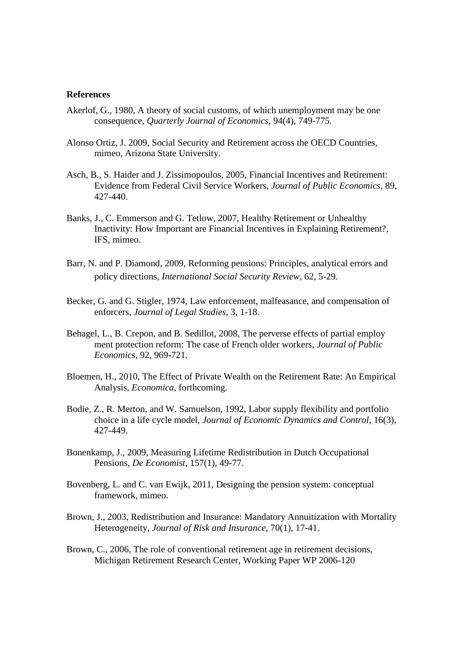#### **References**

- Akerlof, G., 1980, A theory of social customs, of which unemployment may be one consequence, *Quarterly Journal of Economics*, 94(4), 749-775.
- Alonso Ortiz, J. 2009, Social Security and Retirement across the OECD Countries, mimeo, Arizona State University.
- Asch, B., S. Haider and J. Zissimopoulos, 2005, Financial Incentives and Retirement: Evidence from Federal Civil Service Workers, *Journal of Public Economics*, 89, 427-440.
- Banks, J., C. Emmerson and G. Tetlow, 2007, Healthy Retirement or Unhealthy Inactivity: How Important are Financial Incentives in Explaining Retirement?, IFS, mimeo.
- Barr, N. and P. Diamond, 2009, Reforming pensions: Principles, analytical errors and policy directions, *International Social Security Review*, 62, 5-29.
- Becker, G. and G. Stigler, 1974, Law enforcement, malfeasance, and compensation of enforcers, *Journal of Legal Studies*, 3, 1-18.
- Behagel, L., B. Crepon, and B. Sedillot, 2008, The perverse effects of partial employ ment protection reform: The case of French older workers, *Journal of Public Economics*, 92, 969-721.
- Bloemen, H., 2010, The Effect of Private Wealth on the Retirement Rate: An Empirical Analysis, *Economica*, forthcoming.
- Bodie, Z., R. Merton, and W. Samuelson, 1992, Labor supply flexibility and portfolio choice in a life cycle model, *Journal of Economic Dynamics and Control*, 16(3), 427-449.
- Bonenkamp, J., 2009, Measuring Lifetime Redistribution in Dutch Occupational Pensions, *De Economist*, 157(1), 49-77.
- Bovenberg, L. and C. van Ewijk, 2011, Designing the pension system: conceptual framework, mimeo.
- Brown, J., 2003, Redistribution and Insurance: Mandatory Annuitization with Mortality Heterogeneity, *Journal of Risk and Insurance*, 70(1), 17-41.
- Brown, C., 2006, The role of conventional retirement age in retirement decisions, Michigan Retirement Research Center, Working Paper WP 2006-120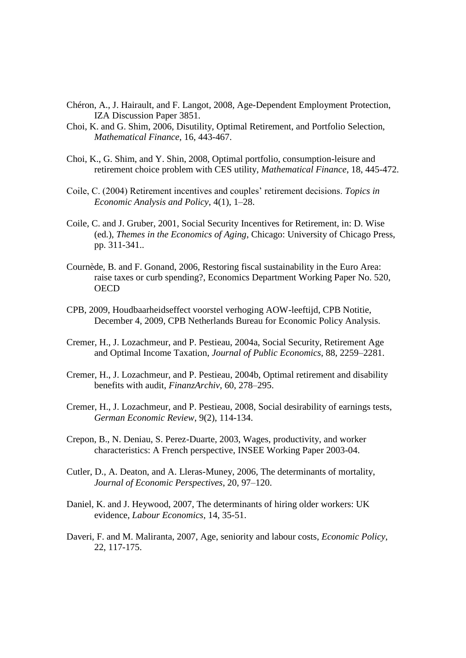- Chéron, A., J. Hairault, and F. Langot, 2008, Age-Dependent Employment Protection, IZA Discussion Paper 3851.
- Choi, K. and G. Shim, 2006, Disutility, Optimal Retirement, and Portfolio Selection, *Mathematical Finance*, 16, 443-467.
- Choi, K., G. Shim, and Y. Shin, 2008, Optimal portfolio, consumption-leisure and retirement choice problem with CES utility, *Mathematical Finance*, 18, 445-472.
- Coile, C. (2004) Retirement incentives and couples" retirement decisions. *Topics in Economic Analysis and Policy*, 4(1), 1–28.
- Coile, C. and J. Gruber, 2001, Social Security Incentives for Retirement, in: D. Wise (ed.), *Themes in the Economics of Aging*, Chicago: University of Chicago Press, pp. 311-341..
- Cournède, B. and F. Gonand, 2006, Restoring fiscal sustainability in the Euro Area: raise taxes or curb spending?, Economics Department Working Paper No. 520, **OECD**
- CPB, 2009, Houdbaarheidseffect voorstel verhoging AOW-leeftijd, CPB Notitie, December 4, 2009, CPB Netherlands Bureau for Economic Policy Analysis.
- Cremer, H., J. Lozachmeur, and P. Pestieau, 2004a, Social Security, Retirement Age and Optimal Income Taxation, *Journal of Public Economics*, 88, 2259–2281.
- Cremer, H., J. Lozachmeur, and P. Pestieau, 2004b, Optimal retirement and disability benefits with audit, *FinanzArchiv*, 60, 278–295.
- Cremer, H., J. Lozachmeur, and P. Pestieau, 2008, Social desirability of earnings tests, *German Economic Review*, 9(2), 114-134.
- Crepon, B., N. Deniau, S. Perez-Duarte, 2003, Wages, productivity, and worker characteristics: A French perspective, INSEE Working Paper 2003-04.
- Cutler, D., A. Deaton, and A. Lleras-Muney, 2006, The determinants of mortality, *Journal of Economic Perspectives*, 20, 97–120.
- Daniel, K. and J. Heywood, 2007, The determinants of hiring older workers: UK evidence, *Labour Economics*, 14, 35-51.
- Daveri, F. and M. Maliranta, 2007, Age, seniority and labour costs, *Economic Policy*, 22, 117-175.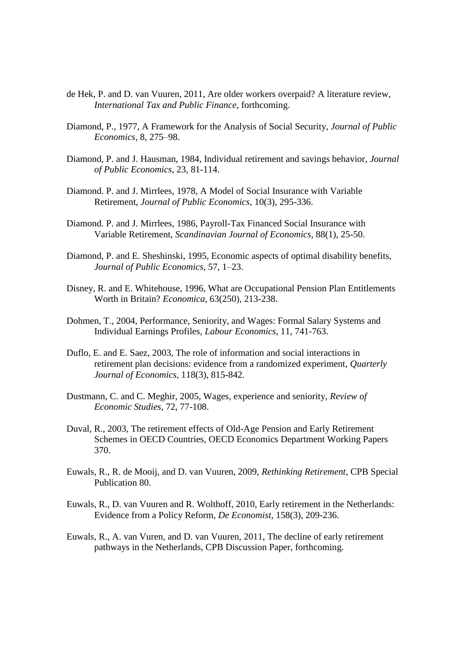- de Hek, P. and D. van Vuuren, 2011, Are older workers overpaid? A literature review, *International Tax and Public Finance*, forthcoming.
- Diamond, P., 1977, A Framework for the Analysis of Social Security, *Journal of Public Economics*, 8, 275–98.
- Diamond, P. and J. Hausman, 1984, Individual retirement and savings behavior, *Journal of Public Economics*, 23, 81-114.
- Diamond. P. and J. Mirrlees, 1978, A Model of Social Insurance with Variable Retirement, *Journal of Public Economics*, 10(3), 295-336.
- Diamond. P. and J. Mirrlees, 1986, Payroll-Tax Financed Social Insurance with Variable Retirement, *Scandinavian Journal of Economics*, 88(1), 25-50.
- Diamond, P. and E. Sheshinski, 1995, Economic aspects of optimal disability benefits, *Journal of Public Economics*, 57, 1–23.
- Disney, R. and E. Whitehouse, 1996, What are Occupational Pension Plan Entitlements Worth in Britain? *Economica*, 63(250), 213-238.
- Dohmen, T., 2004, Performance, Seniority, and Wages: Formal Salary Systems and Individual Earnings Profiles, *Labour Economics*, 11, 741-763.
- Duflo, E. and E. Saez, 2003, The role of information and social interactions in retirement plan decisions: evidence from a randomized experiment, *Quarterly Journal of Economics*, 118(3), 815-842.
- Dustmann, C. and C. Meghir, 2005, Wages, experience and seniority, *Review of Economic Studies*, 72, 77-108.
- Duval, R., 2003, The retirement effects of Old-Age Pension and Early Retirement Schemes in OECD Countries, OECD Economics Department Working Papers 370.
- Euwals, R., R. de Mooij, and D. van Vuuren, 2009, *Rethinking Retirement*, CPB Special Publication 80.
- Euwals, R., D. van Vuuren and R. Wolthoff, 2010, Early retirement in the Netherlands: Evidence from a Policy Reform, *De Economist*, 158(3), 209-236.
- Euwals, R., A. van Vuren, and D. van Vuuren, 2011, The decline of early retirement pathways in the Netherlands, CPB Discussion Paper, forthcoming.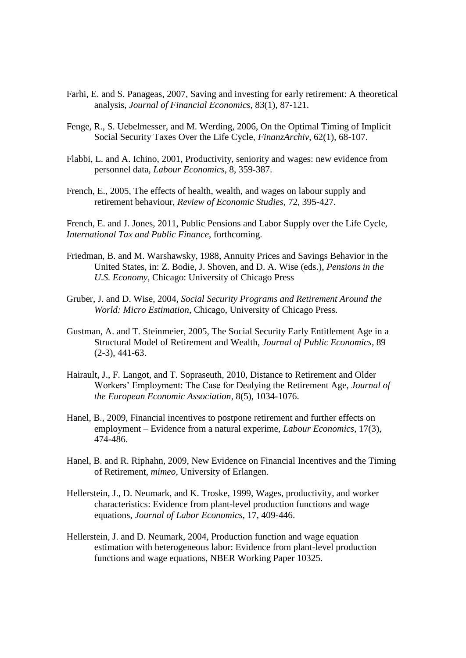- Farhi, E. and S. Panageas, 2007, Saving and investing for early retirement: A theoretical analysis, *Journal of Financial Economics*, 83(1), 87-121.
- Fenge, R., S. Uebelmesser, and M. Werding, 2006, On the Optimal Timing of Implicit Social Security Taxes Over the Life Cycle, *FinanzArchiv*, 62(1), 68-107.
- Flabbi, L. and A. Ichino, 2001, Productivity, seniority and wages: new evidence from personnel data, *Labour Economics*, 8, 359-387.
- French, E., 2005, The effects of health, wealth, and wages on labour supply and retirement behaviour, *Review of Economic Studies*, 72, 395-427.

French, E. and J. Jones, 2011, Public Pensions and Labor Supply over the Life Cycle, *International Tax and Public Finance*, forthcoming.

- Friedman, B. and M. Warshawsky, 1988, Annuity Prices and Savings Behavior in the United States, in: Z. Bodie, J. Shoven, and D. A. Wise (eds.), *Pensions in the U.S. Economy*, Chicago: University of Chicago Press
- Gruber, J. and D. Wise, 2004, *Social Security Programs and Retirement Around the World: Micro Estimation*, Chicago, University of Chicago Press.
- Gustman, A. and T. Steinmeier, 2005, The Social Security Early Entitlement Age in a Structural Model of Retirement and Wealth, *Journal of Public Economics*, 89 (2-3), 441-63.
- Hairault, J., F. Langot, and T. Sopraseuth, 2010, Distance to Retirement and Older Workers" Employment: The Case for Dealying the Retirement Age, *Journal of the European Economic Association*, 8(5), 1034-1076.
- Hanel, B., 2009, Financial incentives to postpone retirement and further effects on employment – Evidence from a natural experime, *Labour Economics*, 17(3), 474-486.
- Hanel, B. and R. Riphahn, 2009, New Evidence on Financial Incentives and the Timing of Retirement, *mimeo*, University of Erlangen.
- Hellerstein, J., D. Neumark, and K. Troske, 1999, Wages, productivity, and worker characteristics: Evidence from plant-level production functions and wage equations, *Journal of Labor Economics*, 17, 409-446.
- Hellerstein, J. and D. Neumark, 2004, Production function and wage equation estimation with heterogeneous labor: Evidence from plant-level production functions and wage equations, NBER Working Paper 10325.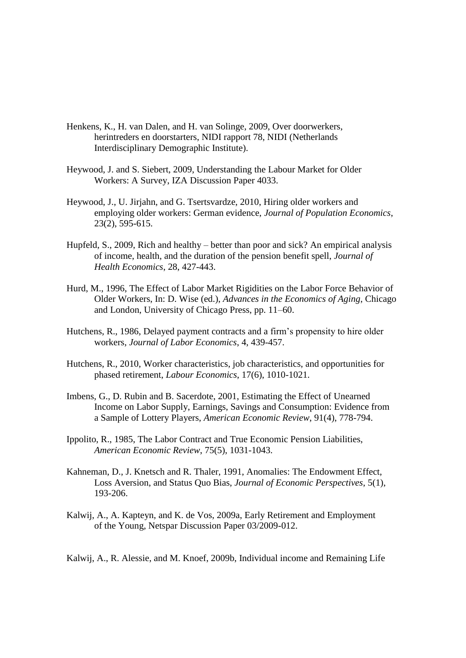- Henkens, K., H. van Dalen, and H. van Solinge, 2009, Over doorwerkers, herintreders en doorstarters, NIDI rapport 78, NIDI (Netherlands Interdisciplinary Demographic Institute).
- Heywood, J. and S. Siebert, 2009, Understanding the Labour Market for Older Workers: A Survey, IZA Discussion Paper 4033.
- Heywood, J., U. Jirjahn, and G. Tsertsvardze, 2010, Hiring older workers and employing older workers: German evidence, *Journal of Population Economics*, 23(2), 595-615.
- Hupfeld, S., 2009, Rich and healthy better than poor and sick? An empirical analysis of income, health, and the duration of the pension benefit spell, *Journal of Health Economics*, 28, 427-443.
- Hurd, M., 1996, The Effect of Labor Market Rigidities on the Labor Force Behavior of Older Workers, In: D. Wise (ed.), *Advances in the Economics of Aging*, Chicago and London, University of Chicago Press, pp. 11–60.
- Hutchens, R., 1986, Delayed payment contracts and a firm"s propensity to hire older workers, *Journal of Labor Economics*, 4, 439-457.
- Hutchens, R., 2010, Worker characteristics, job characteristics, and opportunities for phased retirement, *Labour Economics*, 17(6), 1010-1021.
- Imbens, G., D. Rubin and B. Sacerdote, 2001, Estimating the Effect of Unearned Income on Labor Supply, Earnings, Savings and Consumption: Evidence from a Sample of Lottery Players, *American Economic Review*, 91(4), 778-794.
- Ippolito, R., 1985, The Labor Contract and True Economic Pension Liabilities, *American Economic Review*, 75(5), 1031-1043.
- Kahneman, D., J. Knetsch and R. Thaler, 1991, Anomalies: The Endowment Effect, Loss Aversion, and Status Quo Bias, *Journal of Economic Perspectives*, 5(1), 193-206.
- Kalwij, A., A. Kapteyn, and K. de Vos, 2009a, Early Retirement and Employment of the Young, Netspar Discussion Paper 03/2009-012.
- Kalwij, A., R. Alessie, and M. Knoef, 2009b, Individual income and Remaining Life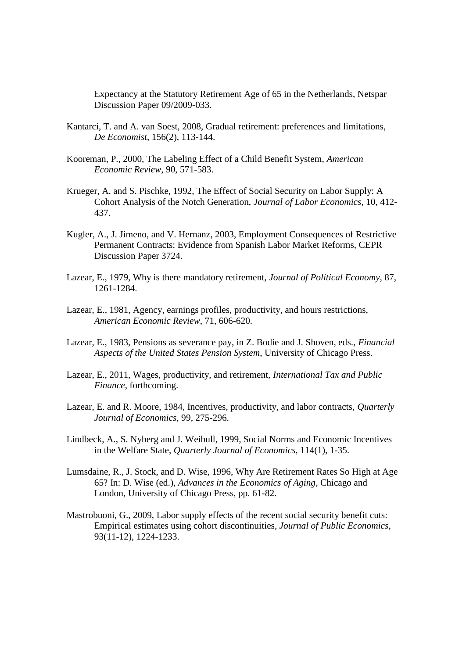Expectancy at the Statutory Retirement Age of 65 in the Netherlands, Netspar Discussion Paper 09/2009-033.

- Kantarci, T. and A. van Soest, 2008, Gradual retirement: preferences and limitations, *De Economist*, 156(2), 113-144.
- Kooreman, P., 2000, The Labeling Effect of a Child Benefit System, *American Economic Review*, 90, 571-583.
- Krueger, A. and S. Pischke, 1992, The Effect of Social Security on Labor Supply: A Cohort Analysis of the Notch Generation, *Journal of Labor Economics*, 10, 412- 437.
- Kugler, A., J. Jimeno, and V. Hernanz, 2003, Employment Consequences of Restrictive Permanent Contracts: Evidence from Spanish Labor Market Reforms, CEPR Discussion Paper 3724.
- Lazear, E., 1979, Why is there mandatory retirement, *Journal of Political Economy*, 87, 1261-1284.
- Lazear, E., 1981, Agency, earnings profiles, productivity, and hours restrictions, *American Economic Review*, 71, 606-620.
- Lazear, E., 1983, Pensions as severance pay, in Z. Bodie and J. Shoven, eds., *Financial Aspects of the United States Pension System*, University of Chicago Press.
- Lazear, E., 2011, Wages, productivity, and retirement, *International Tax and Public Finance*, forthcoming.
- Lazear, E. and R. Moore, 1984, Incentives, productivity, and labor contracts, *Quarterly Journal of Economics*, 99, 275-296.
- Lindbeck, A., S. Nyberg and J. Weibull, 1999, Social Norms and Economic Incentives in the Welfare State, *Quarterly Journal of Economics*, 114(1), 1-35.
- Lumsdaine, R., J. Stock, and D. Wise, 1996, Why Are Retirement Rates So High at Age 65? In: D. Wise (ed.), *Advances in the Economics of Aging*, Chicago and London, University of Chicago Press, pp. 61-82.
- Mastrobuoni, G., 2009, Labor supply effects of the recent social security benefit cuts: Empirical estimates using cohort discontinuities, *Journal of Public Economics*, 93(11-12), 1224-1233.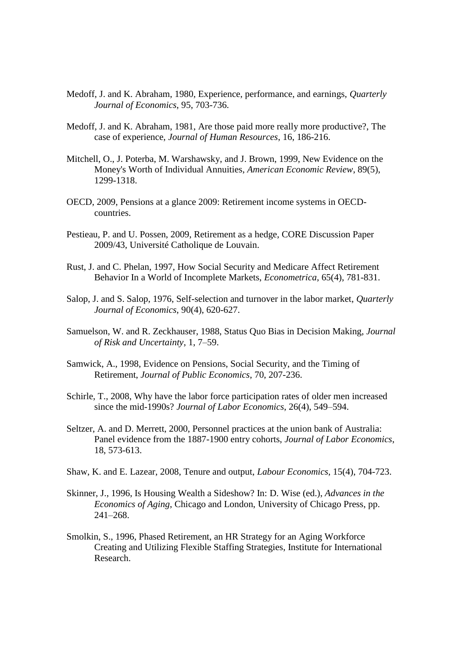- Medoff, J. and K. Abraham, 1980, Experience, performance, and earnings, *Quarterly Journal of Economics*, 95, 703-736.
- Medoff, J. and K. Abraham, 1981, Are those paid more really more productive?, The case of experience, *Journal of Human Resources*, 16, 186-216.
- Mitchell, O., J. Poterba, M. Warshawsky, and J. Brown, 1999, New Evidence on the Money's Worth of Individual Annuities, *American Economic Review*, 89(5), 1299-1318.
- OECD, 2009, Pensions at a glance 2009: Retirement income systems in OECDcountries.
- Pestieau, P. and U. Possen, 2009, Retirement as a hedge, CORE Discussion Paper 2009/43, Université Catholique de Louvain.
- Rust, J. and C. Phelan, 1997, How Social Security and Medicare Affect Retirement Behavior In a World of Incomplete Markets, *Econometrica*, 65(4), 781-831.
- Salop, J. and S. Salop, 1976, Self-selection and turnover in the labor market, *Quarterly Journal of Economics*, 90(4), 620-627.
- Samuelson, W. and R. Zeckhauser, 1988, Status Quo Bias in Decision Making, *Journal of Risk and Uncertainty*, 1, 7–59.
- Samwick, A., 1998, Evidence on Pensions, Social Security, and the Timing of Retirement, *Journal of Public Economics*, 70, 207-236.
- Schirle, T., 2008, Why have the labor force participation rates of older men increased since the mid-1990s? *Journal of Labor Economics*, 26(4), 549–594.
- Seltzer, A. and D. Merrett, 2000, Personnel practices at the union bank of Australia: Panel evidence from the 1887-1900 entry cohorts, *Journal of Labor Economics*, 18, 573-613.
- Shaw, K. and E. Lazear, 2008, Tenure and output, *Labour Economics*, 15(4), 704-723.
- Skinner, J., 1996, Is Housing Wealth a Sideshow? In: D. Wise (ed.), *Advances in the Economics of Aging*, Chicago and London, University of Chicago Press, pp. 241–268.
- Smolkin, S., 1996, Phased Retirement, an HR Strategy for an Aging Workforce Creating and Utilizing Flexible Staffing Strategies, Institute for International Research.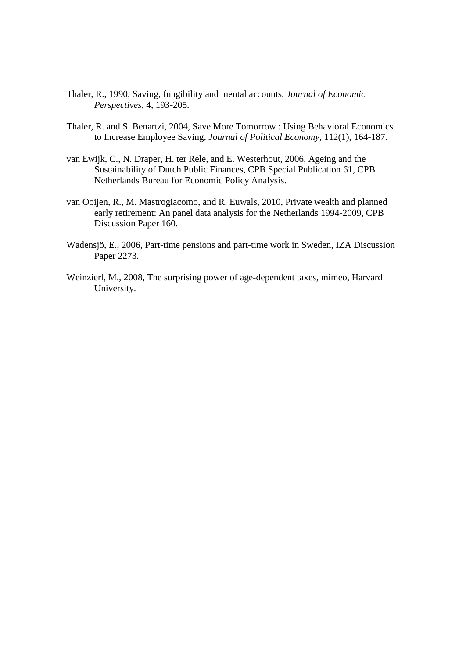- Thaler, R., 1990, Saving, fungibility and mental accounts, *Journal of Economic Perspectives*, 4, 193-205.
- Thaler, R. and S. Benartzi, 2004, Save More Tomorrow : Using Behavioral Economics to Increase Employee Saving, *Journal of Political Economy*, 112(1), 164-187.
- van Ewijk, C., N. Draper, H. ter Rele, and E. Westerhout, 2006, Ageing and the Sustainability of Dutch Public Finances, CPB Special Publication 61, CPB Netherlands Bureau for Economic Policy Analysis.
- van Ooijen, R., M. Mastrogiacomo, and R. Euwals, 2010, Private wealth and planned early retirement: An panel data analysis for the Netherlands 1994-2009, CPB Discussion Paper 160.
- Wadensjö, E., 2006, Part-time pensions and part-time work in Sweden, IZA Discussion Paper 2273.
- Weinzierl, M., 2008, The surprising power of age-dependent taxes, mimeo, Harvard University.